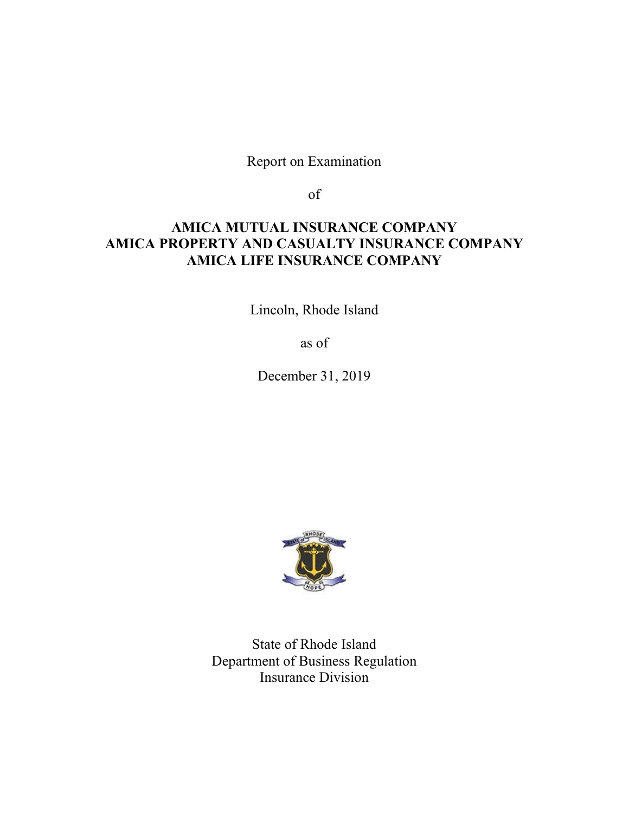Report on Examination

of

# **AMICA MUTUAL INSURANCE COMPANY AMICA PROPERTY AND CASUALTY INSURANCE COMPANY AMICA LIFE INSURANCE COMPANY**

Lincoln, Rhode Island

as of

December 31, 2019



State of Rhode Island Department of Business Regulation Insurance Division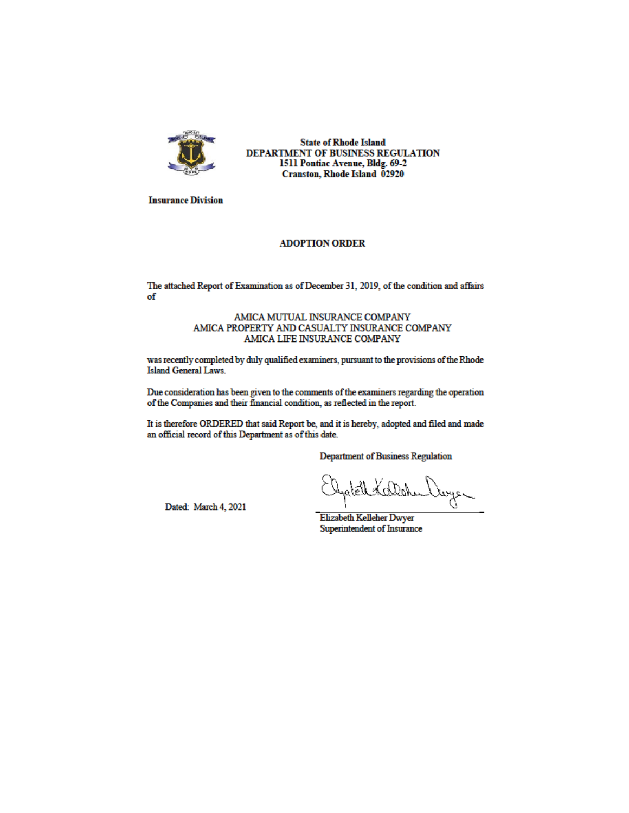

**State of Rhode Island** DEPARTMENT OF BUSINESS REGULATION 1511 Pontiac Avenue, Bldg. 69-2 Cranston, Rhode Island 02920

**Insurance Division** 

### **ADOPTION ORDER**

The attached Report of Examination as of December 31, 2019, of the condition and affairs of

#### AMICA MUTUAL INSURANCE COMPANY AMICA PROPERTY AND CASUALTY INSURANCE COMPANY AMICA LIFE INSURANCE COMPANY

was recently completed by duly qualified examiners, pursuant to the provisions of the Rhode Island General Laws.

Due consideration has been given to the comments of the examiners regarding the operation of the Companies and their financial condition, as reflected in the report.

It is therefore ORDERED that said Report be, and it is hereby, adopted and filed and made an official record of this Department as of this date.

**Department of Business Regulation** 

Dated: March 4, 2021

Elystell Kollahu Vayer

**Elizabeth Kelleher Dwyer** Superintendent of Insurance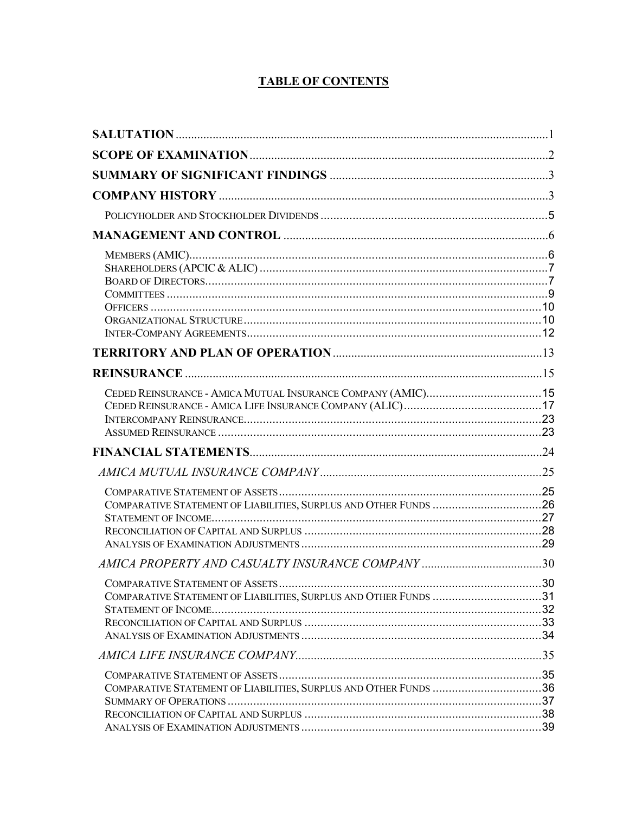# **TABLE OF CONTENTS**

| COMPARATIVE STATEMENT OF LIABILITIES, SURPLUS AND OTHER FUNDS 26 |  |
|------------------------------------------------------------------|--|
|                                                                  |  |
| COMPARATIVE STATEMENT OF LIABILITIES, SURPLUS AND OTHER FUNDS 31 |  |
|                                                                  |  |
| COMPARATIVE STATEMENT OF LIABILITIES, SURPLUS AND OTHER FUNDS 36 |  |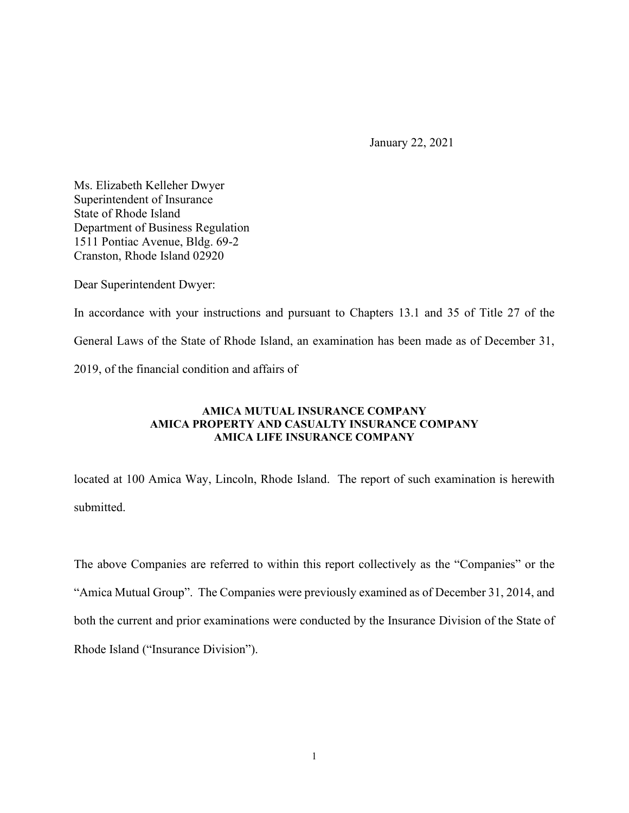January 22, 2021

Ms. Elizabeth Kelleher Dwyer Superintendent of Insurance State of Rhode Island Department of Business Regulation 1511 Pontiac Avenue, Bldg. 69-2 Cranston, Rhode Island 02920

Dear Superintendent Dwyer:

In accordance with your instructions and pursuant to Chapters 13.1 and 35 of Title 27 of the General Laws of the State of Rhode Island, an examination has been made as of December 31, 2019, of the financial condition and affairs of

# **AMICA MUTUAL INSURANCE COMPANY AMICA PROPERTY AND CASUALTY INSURANCE COMPANY AMICA LIFE INSURANCE COMPANY**

located at 100 Amica Way, Lincoln, Rhode Island. The report of such examination is herewith submitted.

The above Companies are referred to within this report collectively as the "Companies" or the "Amica Mutual Group". The Companies were previously examined as of December 31, 2014, and both the current and prior examinations were conducted by the Insurance Division of the State of Rhode Island ("Insurance Division").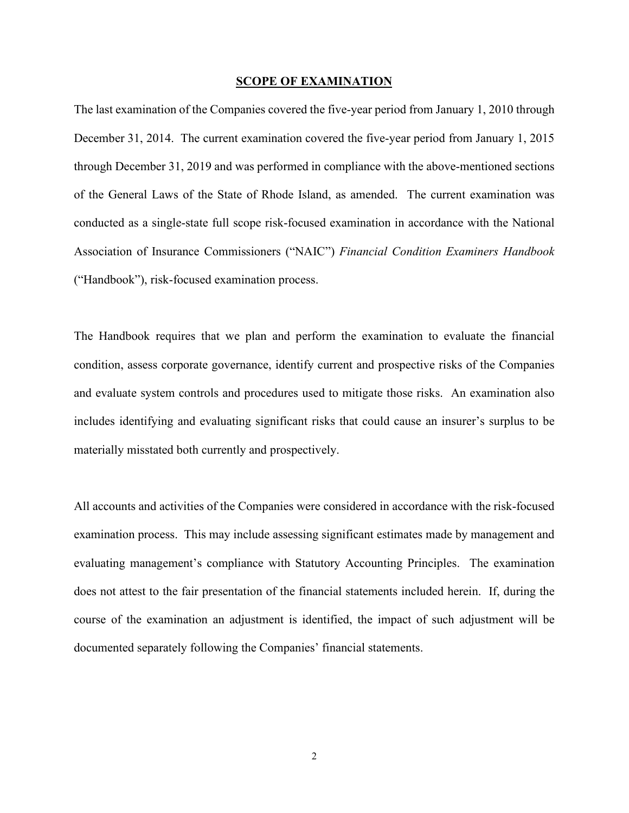#### **SCOPE OF EXAMINATION**

The last examination of the Companies covered the five-year period from January 1, 2010 through December 31, 2014. The current examination covered the five-year period from January 1, 2015 through December 31, 2019 and was performed in compliance with the above-mentioned sections of the General Laws of the State of Rhode Island, as amended. The current examination was conducted as a single-state full scope risk-focused examination in accordance with the National Association of Insurance Commissioners ("NAIC") *Financial Condition Examiners Handbook* ("Handbook"), risk-focused examination process.

The Handbook requires that we plan and perform the examination to evaluate the financial condition, assess corporate governance, identify current and prospective risks of the Companies and evaluate system controls and procedures used to mitigate those risks. An examination also includes identifying and evaluating significant risks that could cause an insurer's surplus to be materially misstated both currently and prospectively.

All accounts and activities of the Companies were considered in accordance with the risk-focused examination process. This may include assessing significant estimates made by management and evaluating management's compliance with Statutory Accounting Principles. The examination does not attest to the fair presentation of the financial statements included herein. If, during the course of the examination an adjustment is identified, the impact of such adjustment will be documented separately following the Companies' financial statements.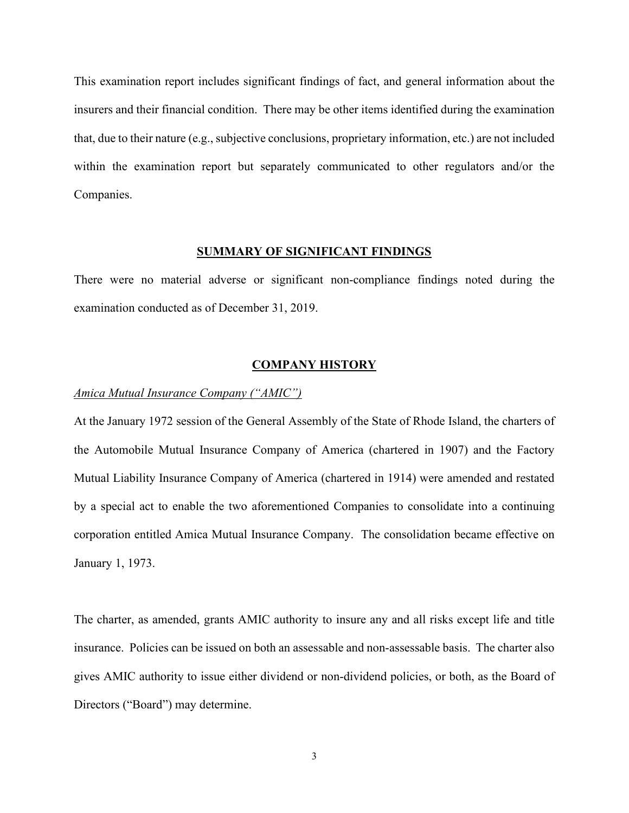This examination report includes significant findings of fact, and general information about the insurers and their financial condition. There may be other items identified during the examination that, due to their nature (e.g., subjective conclusions, proprietary information, etc.) are not included within the examination report but separately communicated to other regulators and/or the Companies.

### **SUMMARY OF SIGNIFICANT FINDINGS**

There were no material adverse or significant non-compliance findings noted during the examination conducted as of December 31, 2019.

#### **COMPANY HISTORY**

### *Amica Mutual Insurance Company ("AMIC")*

At the January 1972 session of the General Assembly of the State of Rhode Island, the charters of the Automobile Mutual Insurance Company of America (chartered in 1907) and the Factory Mutual Liability Insurance Company of America (chartered in 1914) were amended and restated by a special act to enable the two aforementioned Companies to consolidate into a continuing corporation entitled Amica Mutual Insurance Company. The consolidation became effective on January 1, 1973.

The charter, as amended, grants AMIC authority to insure any and all risks except life and title insurance. Policies can be issued on both an assessable and non-assessable basis. The charter also gives AMIC authority to issue either dividend or non-dividend policies, or both, as the Board of Directors ("Board") may determine.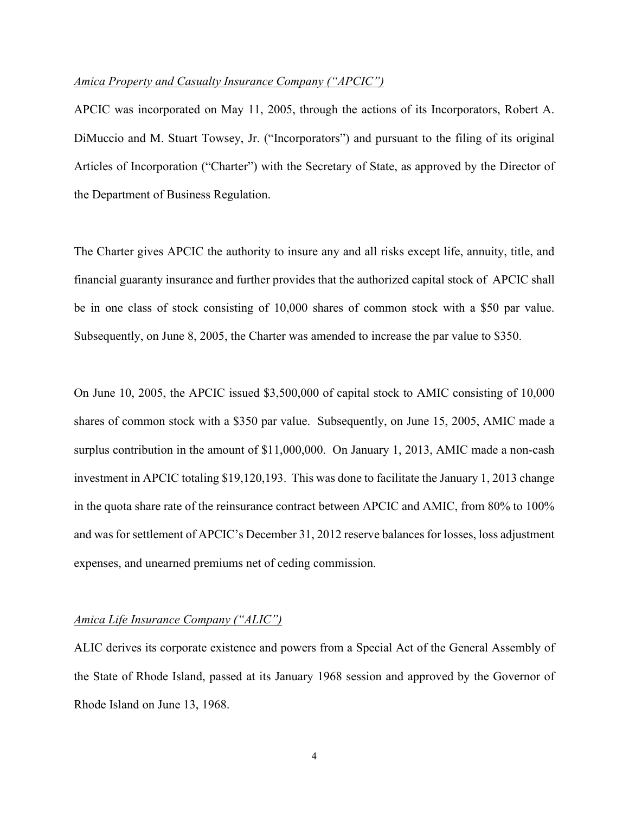# *Amica Property and Casualty Insurance Company ("APCIC")*

APCIC was incorporated on May 11, 2005, through the actions of its Incorporators, Robert A. DiMuccio and M. Stuart Towsey, Jr. ("Incorporators") and pursuant to the filing of its original Articles of Incorporation ("Charter") with the Secretary of State, as approved by the Director of the Department of Business Regulation.

The Charter gives APCIC the authority to insure any and all risks except life, annuity, title, and financial guaranty insurance and further provides that the authorized capital stock of APCIC shall be in one class of stock consisting of 10,000 shares of common stock with a \$50 par value. Subsequently, on June 8, 2005, the Charter was amended to increase the par value to \$350.

On June 10, 2005, the APCIC issued \$3,500,000 of capital stock to AMIC consisting of 10,000 shares of common stock with a \$350 par value. Subsequently, on June 15, 2005, AMIC made a surplus contribution in the amount of \$11,000,000. On January 1, 2013, AMIC made a non-cash investment in APCIC totaling \$19,120,193. This was done to facilitate the January 1, 2013 change in the quota share rate of the reinsurance contract between APCIC and AMIC, from 80% to 100% and was for settlement of APCIC's December 31, 2012 reserve balances for losses, loss adjustment expenses, and unearned premiums net of ceding commission.

#### *Amica Life Insurance Company ("ALIC")*

ALIC derives its corporate existence and powers from a Special Act of the General Assembly of the State of Rhode Island, passed at its January 1968 session and approved by the Governor of Rhode Island on June 13, 1968.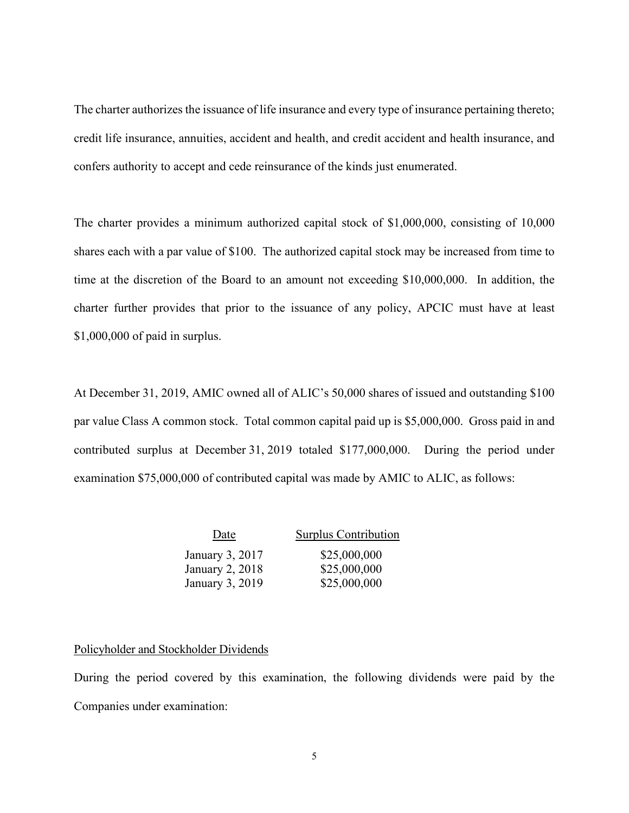The charter authorizes the issuance of life insurance and every type of insurance pertaining thereto; credit life insurance, annuities, accident and health, and credit accident and health insurance, and confers authority to accept and cede reinsurance of the kinds just enumerated.

The charter provides a minimum authorized capital stock of \$1,000,000, consisting of 10,000 shares each with a par value of \$100. The authorized capital stock may be increased from time to time at the discretion of the Board to an amount not exceeding \$10,000,000. In addition, the charter further provides that prior to the issuance of any policy, APCIC must have at least \$1,000,000 of paid in surplus.

At December 31, 2019, AMIC owned all of ALIC's 50,000 shares of issued and outstanding \$100 par value Class A common stock. Total common capital paid up is \$5,000,000. Gross paid in and contributed surplus at December 31, 2019 totaled \$177,000,000. During the period under examination \$75,000,000 of contributed capital was made by AMIC to ALIC, as follows:

| Date            | Surplus Contribution |
|-----------------|----------------------|
| January 3, 2017 | \$25,000,000         |
| January 2, 2018 | \$25,000,000         |
| January 3, 2019 | \$25,000,000         |

# Policyholder and Stockholder Dividends

During the period covered by this examination, the following dividends were paid by the Companies under examination: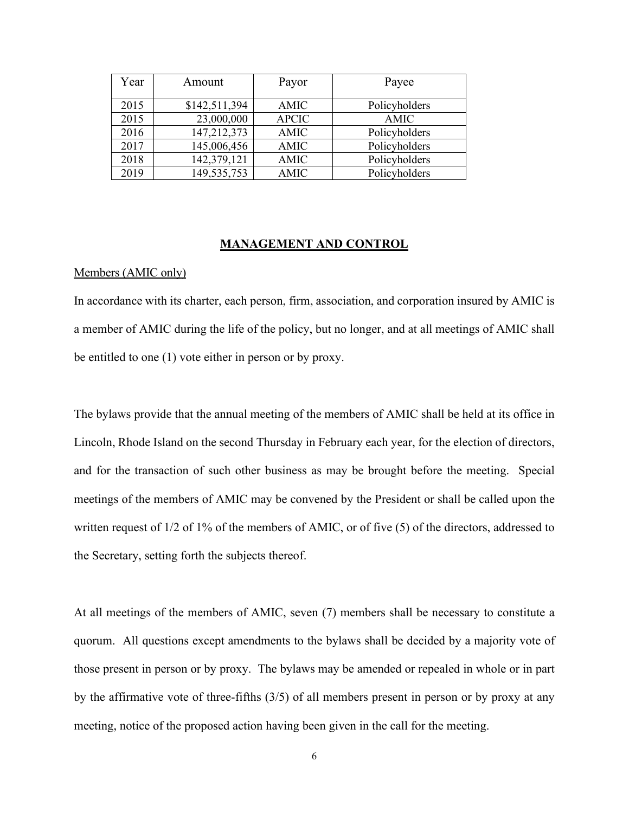| Year | Amount        | Payor        | Payee         |
|------|---------------|--------------|---------------|
| 2015 | \$142,511,394 | AMIC         | Policyholders |
| 2015 | 23,000,000    | <b>APCIC</b> | AMIC          |
| 2016 | 147,212,373   | AMIC         | Policyholders |
| 2017 | 145,006,456   | <b>AMIC</b>  | Policyholders |
| 2018 | 142,379,121   | <b>AMIC</b>  | Policyholders |
| 2019 | 149,535,753   | <b>AMIC</b>  | Policyholders |

#### **MANAGEMENT AND CONTROL**

### Members (AMIC only)

In accordance with its charter, each person, firm, association, and corporation insured by AMIC is a member of AMIC during the life of the policy, but no longer, and at all meetings of AMIC shall be entitled to one (1) vote either in person or by proxy.

The bylaws provide that the annual meeting of the members of AMIC shall be held at its office in Lincoln, Rhode Island on the second Thursday in February each year, for the election of directors, and for the transaction of such other business as may be brought before the meeting. Special meetings of the members of AMIC may be convened by the President or shall be called upon the written request of 1/2 of 1% of the members of AMIC, or of five (5) of the directors, addressed to the Secretary, setting forth the subjects thereof.

At all meetings of the members of AMIC, seven (7) members shall be necessary to constitute a quorum. All questions except amendments to the bylaws shall be decided by a majority vote of those present in person or by proxy. The bylaws may be amended or repealed in whole or in part by the affirmative vote of three-fifths (3/5) of all members present in person or by proxy at any meeting, notice of the proposed action having been given in the call for the meeting.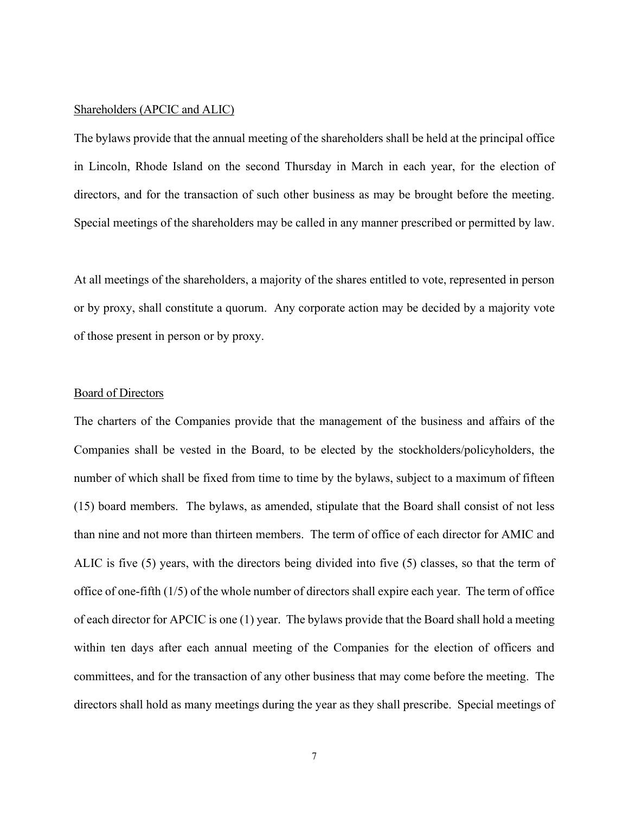### Shareholders (APCIC and ALIC)

The bylaws provide that the annual meeting of the shareholders shall be held at the principal office in Lincoln, Rhode Island on the second Thursday in March in each year, for the election of directors, and for the transaction of such other business as may be brought before the meeting. Special meetings of the shareholders may be called in any manner prescribed or permitted by law.

At all meetings of the shareholders, a majority of the shares entitled to vote, represented in person or by proxy, shall constitute a quorum. Any corporate action may be decided by a majority vote of those present in person or by proxy.

#### Board of Directors

The charters of the Companies provide that the management of the business and affairs of the Companies shall be vested in the Board, to be elected by the stockholders/policyholders, the number of which shall be fixed from time to time by the bylaws, subject to a maximum of fifteen (15) board members. The bylaws, as amended, stipulate that the Board shall consist of not less than nine and not more than thirteen members. The term of office of each director for AMIC and ALIC is five (5) years, with the directors being divided into five (5) classes, so that the term of office of one-fifth (1/5) of the whole number of directors shall expire each year. The term of office of each director for APCIC is one (1) year. The bylaws provide that the Board shall hold a meeting within ten days after each annual meeting of the Companies for the election of officers and committees, and for the transaction of any other business that may come before the meeting. The directors shall hold as many meetings during the year as they shall prescribe. Special meetings of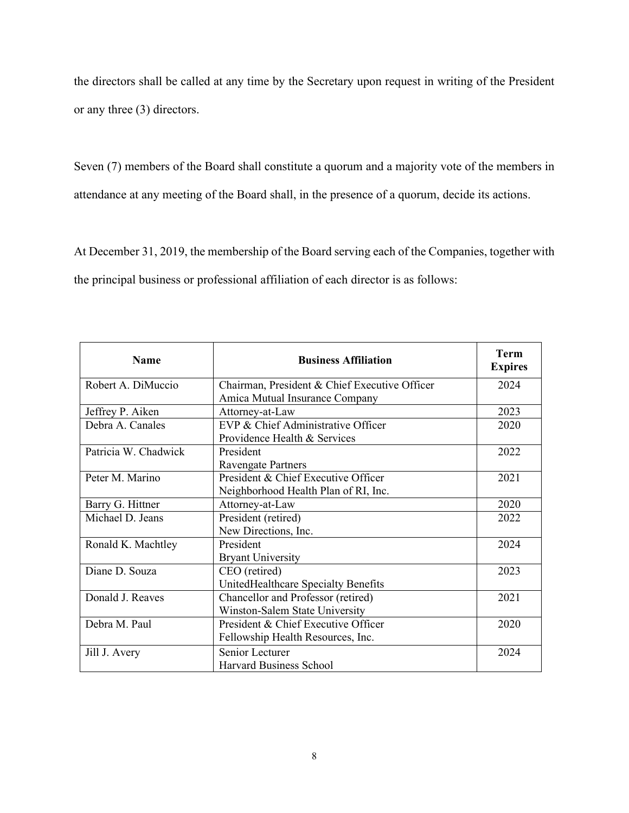the directors shall be called at any time by the Secretary upon request in writing of the President or any three (3) directors.

Seven (7) members of the Board shall constitute a quorum and a majority vote of the members in attendance at any meeting of the Board shall, in the presence of a quorum, decide its actions.

At December 31, 2019, the membership of the Board serving each of the Companies, together with the principal business or professional affiliation of each director is as follows:

| <b>Name</b>          | <b>Business Affiliation</b>                   | <b>Term</b><br><b>Expires</b> |
|----------------------|-----------------------------------------------|-------------------------------|
| Robert A. DiMuccio   | Chairman, President & Chief Executive Officer | 2024                          |
|                      | Amica Mutual Insurance Company                |                               |
| Jeffrey P. Aiken     | Attorney-at-Law                               | 2023                          |
| Debra A. Canales     | EVP & Chief Administrative Officer            | 2020                          |
|                      | Providence Health & Services                  |                               |
| Patricia W. Chadwick | President                                     | 2022                          |
|                      | Ravengate Partners                            |                               |
| Peter M. Marino      | President & Chief Executive Officer           | 2021                          |
|                      | Neighborhood Health Plan of RI, Inc.          |                               |
| Barry G. Hittner     | Attorney-at-Law                               | 2020                          |
| Michael D. Jeans     | President (retired)                           | 2022                          |
|                      | New Directions, Inc.                          |                               |
| Ronald K. Machtley   | President                                     | 2024                          |
|                      | <b>Bryant University</b>                      |                               |
| Diane D. Souza       | CEO (retired)                                 | 2023                          |
|                      | UnitedHealthcare Specialty Benefits           |                               |
| Donald J. Reaves     | Chancellor and Professor (retired)            | 2021                          |
|                      | Winston-Salem State University                |                               |
| Debra M. Paul        | President & Chief Executive Officer           | 2020                          |
|                      | Fellowship Health Resources, Inc.             |                               |
| Jill J. Avery        | Senior Lecturer                               | 2024                          |
|                      | <b>Harvard Business School</b>                |                               |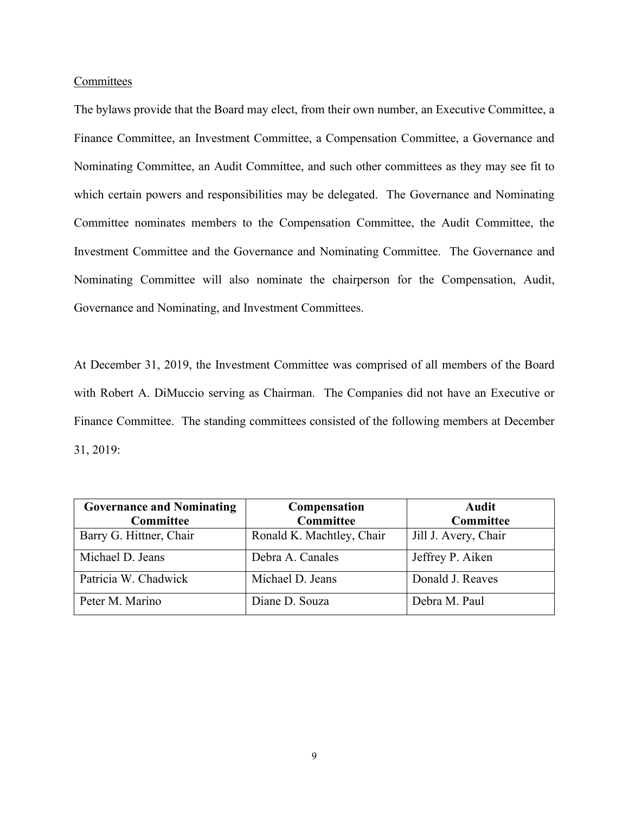### **Committees**

The bylaws provide that the Board may elect, from their own number, an Executive Committee, a Finance Committee, an Investment Committee, a Compensation Committee, a Governance and Nominating Committee, an Audit Committee, and such other committees as they may see fit to which certain powers and responsibilities may be delegated. The Governance and Nominating Committee nominates members to the Compensation Committee, the Audit Committee, the Investment Committee and the Governance and Nominating Committee. The Governance and Nominating Committee will also nominate the chairperson for the Compensation, Audit, Governance and Nominating, and Investment Committees.

At December 31, 2019, the Investment Committee was comprised of all members of the Board with Robert A. DiMuccio serving as Chairman. The Companies did not have an Executive or Finance Committee. The standing committees consisted of the following members at December 31, 2019:

| <b>Governance and Nominating</b> | Compensation              | Audit                |
|----------------------------------|---------------------------|----------------------|
| Committee                        | Committee                 | Committee            |
| Barry G. Hittner, Chair          | Ronald K. Machtley, Chair | Jill J. Avery, Chair |
| Michael D. Jeans                 | Debra A. Canales          | Jeffrey P. Aiken     |
| Patricia W. Chadwick             | Michael D. Jeans          | Donald J. Reaves     |
| Peter M. Marino                  | Diane D. Souza            | Debra M. Paul        |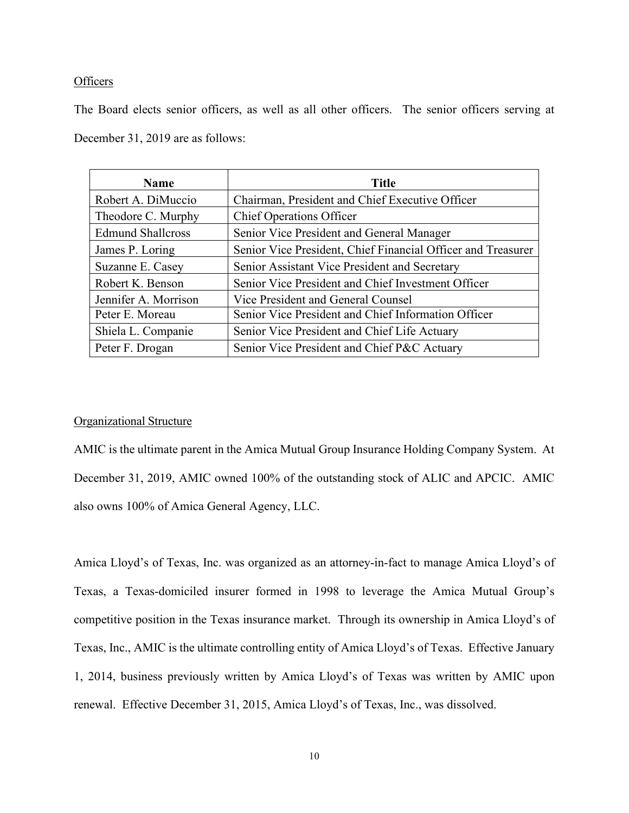# **Officers**

The Board elects senior officers, as well as all other officers. The senior officers serving at December 31, 2019 are as follows:

| <b>Name</b>              | <b>Title</b>                                                 |
|--------------------------|--------------------------------------------------------------|
| Robert A. DiMuccio       | Chairman, President and Chief Executive Officer              |
| Theodore C. Murphy       | <b>Chief Operations Officer</b>                              |
| <b>Edmund Shallcross</b> | Senior Vice President and General Manager                    |
| James P. Loring          | Senior Vice President, Chief Financial Officer and Treasurer |
| Suzanne E. Casey         | Senior Assistant Vice President and Secretary                |
| Robert K. Benson         | Senior Vice President and Chief Investment Officer           |
| Jennifer A. Morrison     | Vice President and General Counsel                           |
| Peter E. Moreau          | Senior Vice President and Chief Information Officer          |
| Shiela L. Companie       | Senior Vice President and Chief Life Actuary                 |
| Peter F. Drogan          | Senior Vice President and Chief P&C Actuary                  |

# Organizational Structure

AMIC is the ultimate parent in the Amica Mutual Group Insurance Holding Company System. At December 31, 2019, AMIC owned 100% of the outstanding stock of ALIC and APCIC. AMIC also owns 100% of Amica General Agency, LLC.

Amica Lloyd's of Texas, Inc. was organized as an attorney-in-fact to manage Amica Lloyd's of Texas, a Texas-domiciled insurer formed in 1998 to leverage the Amica Mutual Group's competitive position in the Texas insurance market. Through its ownership in Amica Lloyd's of Texas, Inc., AMIC is the ultimate controlling entity of Amica Lloyd's of Texas. Effective January 1, 2014, business previously written by Amica Lloyd's of Texas was written by AMIC upon renewal. Effective December 31, 2015, Amica Lloyd's of Texas, Inc., was dissolved.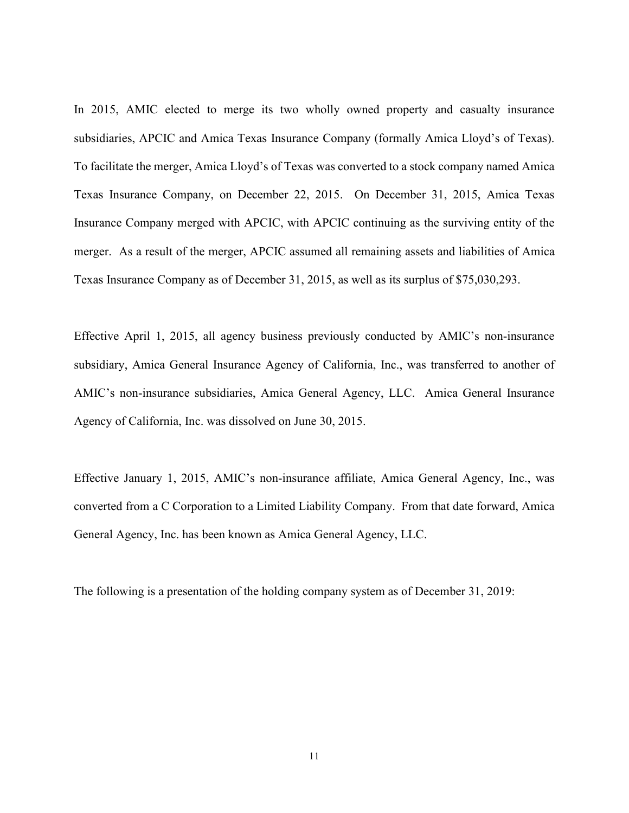In 2015, AMIC elected to merge its two wholly owned property and casualty insurance subsidiaries, APCIC and Amica Texas Insurance Company (formally Amica Lloyd's of Texas). To facilitate the merger, Amica Lloyd's of Texas was converted to a stock company named Amica Texas Insurance Company, on December 22, 2015. On December 31, 2015, Amica Texas Insurance Company merged with APCIC, with APCIC continuing as the surviving entity of the merger. As a result of the merger, APCIC assumed all remaining assets and liabilities of Amica Texas Insurance Company as of December 31, 2015, as well as its surplus of \$75,030,293.

Effective April 1, 2015, all agency business previously conducted by AMIC's non-insurance subsidiary, Amica General Insurance Agency of California, Inc., was transferred to another of AMIC's non-insurance subsidiaries, Amica General Agency, LLC. Amica General Insurance Agency of California, Inc. was dissolved on June 30, 2015.

Effective January 1, 2015, AMIC's non-insurance affiliate, Amica General Agency, Inc., was converted from a C Corporation to a Limited Liability Company. From that date forward, Amica General Agency, Inc. has been known as Amica General Agency, LLC.

The following is a presentation of the holding company system as of December 31, 2019: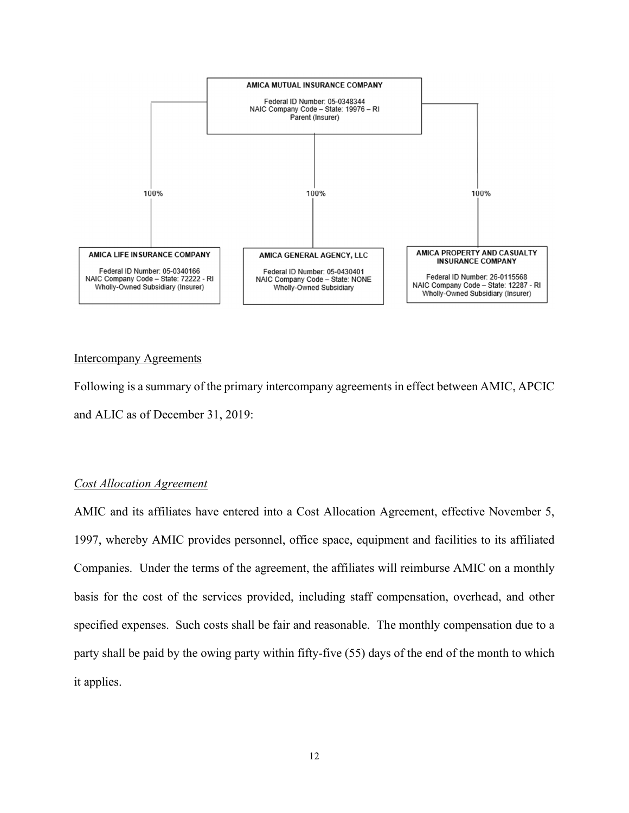

# Intercompany Agreements

Following is a summary of the primary intercompany agreements in effect between AMIC, APCIC and ALIC as of December 31, 2019:

# *Cost Allocation Agreement*

AMIC and its affiliates have entered into a Cost Allocation Agreement, effective November 5, 1997, whereby AMIC provides personnel, office space, equipment and facilities to its affiliated Companies. Under the terms of the agreement, the affiliates will reimburse AMIC on a monthly basis for the cost of the services provided, including staff compensation, overhead, and other specified expenses. Such costs shall be fair and reasonable. The monthly compensation due to a party shall be paid by the owing party within fifty-five (55) days of the end of the month to which it applies.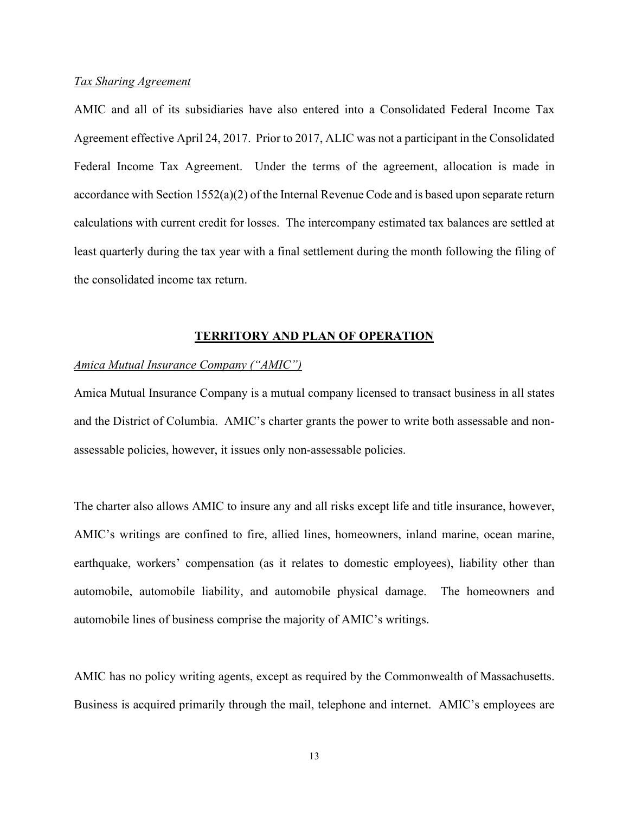#### *Tax Sharing Agreement*

AMIC and all of its subsidiaries have also entered into a Consolidated Federal Income Tax Agreement effective April 24, 2017. Prior to 2017, ALIC was not a participant in the Consolidated Federal Income Tax Agreement. Under the terms of the agreement, allocation is made in accordance with Section 1552(a)(2) of the Internal Revenue Code and is based upon separate return calculations with current credit for losses. The intercompany estimated tax balances are settled at least quarterly during the tax year with a final settlement during the month following the filing of the consolidated income tax return.

#### **TERRITORY AND PLAN OF OPERATION**

### *Amica Mutual Insurance Company ("AMIC")*

Amica Mutual Insurance Company is a mutual company licensed to transact business in all states and the District of Columbia. AMIC's charter grants the power to write both assessable and nonassessable policies, however, it issues only non-assessable policies.

The charter also allows AMIC to insure any and all risks except life and title insurance, however, AMIC's writings are confined to fire, allied lines, homeowners, inland marine, ocean marine, earthquake, workers' compensation (as it relates to domestic employees), liability other than automobile, automobile liability, and automobile physical damage. The homeowners and automobile lines of business comprise the majority of AMIC's writings.

AMIC has no policy writing agents, except as required by the Commonwealth of Massachusetts. Business is acquired primarily through the mail, telephone and internet. AMIC's employees are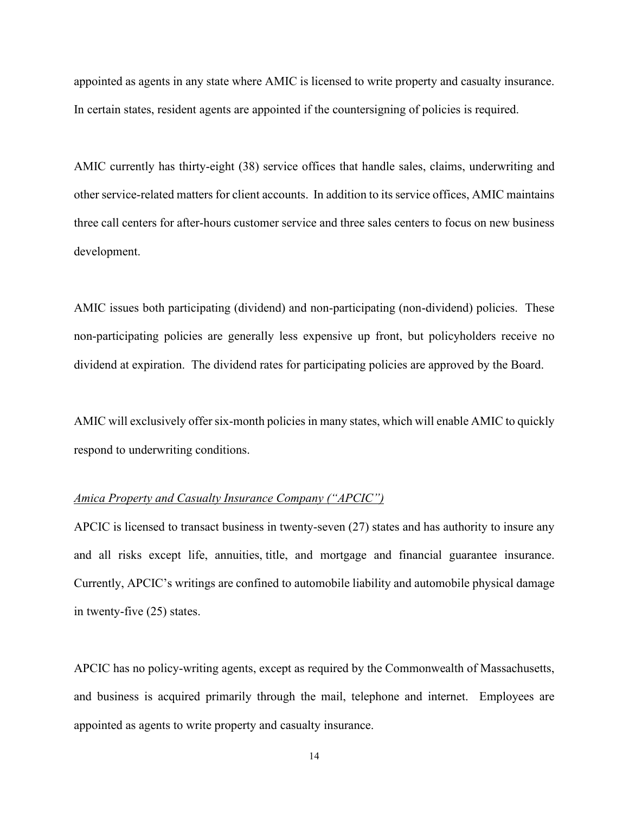appointed as agents in any state where AMIC is licensed to write property and casualty insurance. In certain states, resident agents are appointed if the countersigning of policies is required.

AMIC currently has thirty-eight (38) service offices that handle sales, claims, underwriting and other service-related matters for client accounts. In addition to its service offices, AMIC maintains three call centers for after-hours customer service and three sales centers to focus on new business development.

AMIC issues both participating (dividend) and non-participating (non-dividend) policies. These non-participating policies are generally less expensive up front, but policyholders receive no dividend at expiration. The dividend rates for participating policies are approved by the Board.

AMIC will exclusively offer six-month policies in many states, which will enable AMIC to quickly respond to underwriting conditions.

### *Amica Property and Casualty Insurance Company ("APCIC")*

APCIC is licensed to transact business in twenty-seven (27) states and has authority to insure any and all risks except life, annuities, title, and mortgage and financial guarantee insurance. Currently, APCIC's writings are confined to automobile liability and automobile physical damage in twenty-five (25) states.

APCIC has no policy-writing agents, except as required by the Commonwealth of Massachusetts, and business is acquired primarily through the mail, telephone and internet. Employees are appointed as agents to write property and casualty insurance.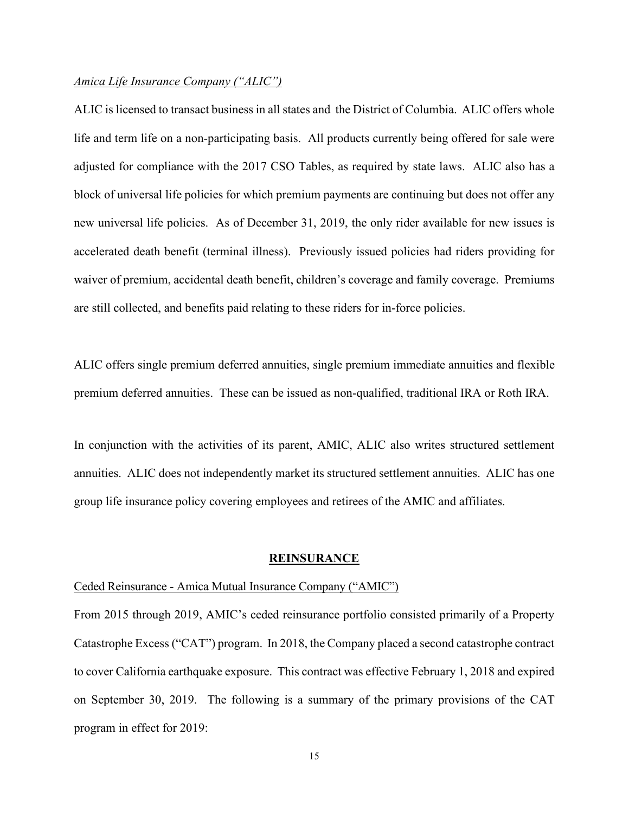#### *Amica Life Insurance Company ("ALIC")*

ALIC is licensed to transact business in all states and the District of Columbia. ALIC offers whole life and term life on a non-participating basis. All products currently being offered for sale were adjusted for compliance with the 2017 CSO Tables, as required by state laws. ALIC also has a block of universal life policies for which premium payments are continuing but does not offer any new universal life policies. As of December 31, 2019, the only rider available for new issues is accelerated death benefit (terminal illness). Previously issued policies had riders providing for waiver of premium, accidental death benefit, children's coverage and family coverage. Premiums are still collected, and benefits paid relating to these riders for in-force policies.

ALIC offers single premium deferred annuities, single premium immediate annuities and flexible premium deferred annuities. These can be issued as non-qualified, traditional IRA or Roth IRA.

In conjunction with the activities of its parent, AMIC, ALIC also writes structured settlement annuities. ALIC does not independently market its structured settlement annuities. ALIC has one group life insurance policy covering employees and retirees of the AMIC and affiliates.

#### **REINSURANCE**

### Ceded Reinsurance - Amica Mutual Insurance Company ("AMIC")

From 2015 through 2019, AMIC's ceded reinsurance portfolio consisted primarily of a Property Catastrophe Excess ("CAT") program. In 2018, the Company placed a second catastrophe contract to cover California earthquake exposure. This contract was effective February 1, 2018 and expired on September 30, 2019. The following is a summary of the primary provisions of the CAT program in effect for 2019: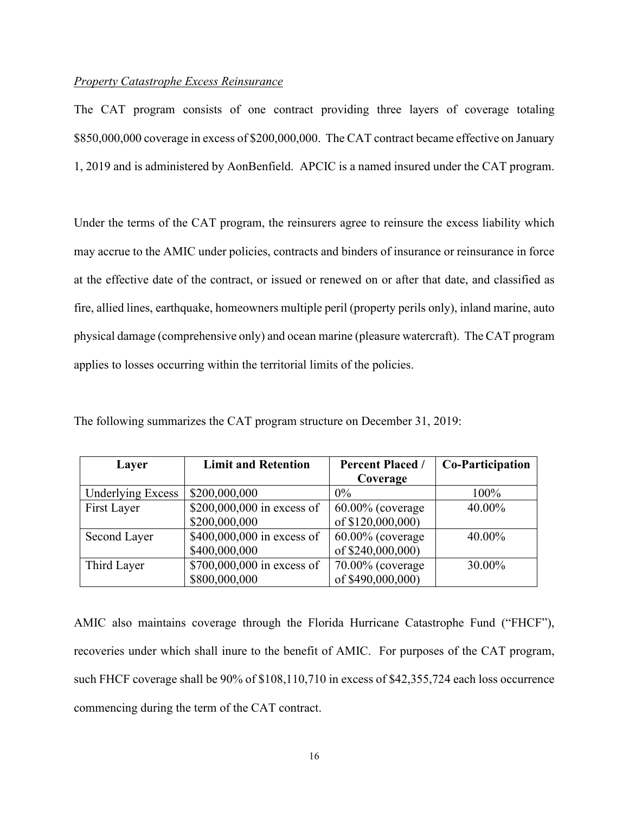# *Property Catastrophe Excess Reinsurance*

The CAT program consists of one contract providing three layers of coverage totaling \$850,000,000 coverage in excess of \$200,000,000. The CAT contract became effective on January 1, 2019 and is administered by AonBenfield. APCIC is a named insured under the CAT program.

Under the terms of the CAT program, the reinsurers agree to reinsure the excess liability which may accrue to the AMIC under policies, contracts and binders of insurance or reinsurance in force at the effective date of the contract, or issued or renewed on or after that date, and classified as fire, allied lines, earthquake, homeowners multiple peril (property perils only), inland marine, auto physical damage (comprehensive only) and ocean marine (pleasure watercraft). The CAT program applies to losses occurring within the territorial limits of the policies.

| Layer                    | <b>Limit and Retention</b> | <b>Percent Placed /</b> | Co-Participation |
|--------------------------|----------------------------|-------------------------|------------------|
|                          |                            | Coverage                |                  |
| <b>Underlying Excess</b> | \$200,000,000              | $0\%$                   | 100%             |
| First Layer              | \$200,000,000 in excess of | $60.00\%$ (coverage)    | 40.00%           |
|                          | \$200,000,000              | of \$120,000,000)       |                  |
| Second Layer             | \$400,000,000 in excess of | $60.00\%$ (coverage)    | 40.00%           |
|                          | \$400,000,000              | of \$240,000,000)       |                  |
| Third Layer              | \$700,000,000 in excess of | $70.00\%$ (coverage)    | 30.00%           |
|                          | \$800,000,000              | of \$490,000,000)       |                  |

The following summarizes the CAT program structure on December 31, 2019:

AMIC also maintains coverage through the Florida Hurricane Catastrophe Fund ("FHCF"), recoveries under which shall inure to the benefit of AMIC. For purposes of the CAT program, such FHCF coverage shall be 90% of \$108,110,710 in excess of \$42,355,724 each loss occurrence commencing during the term of the CAT contract.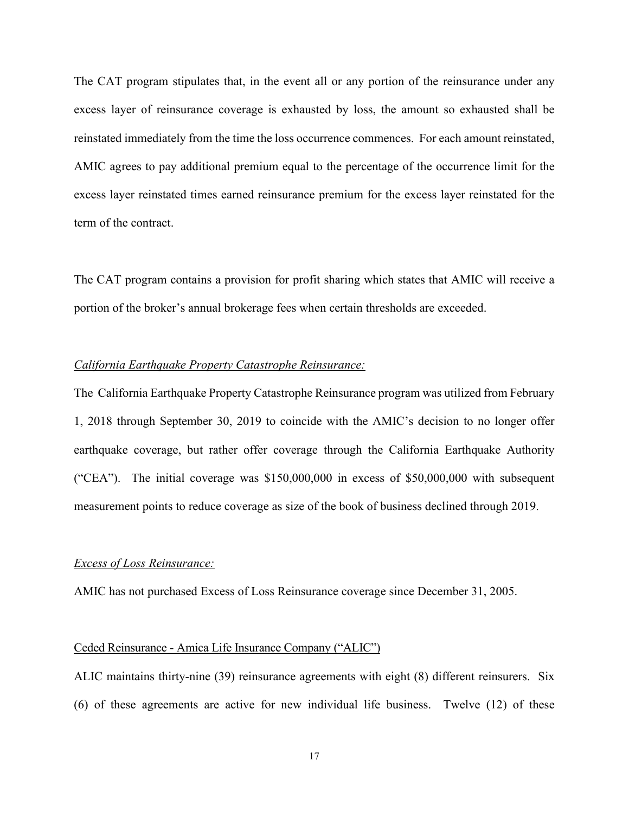The CAT program stipulates that, in the event all or any portion of the reinsurance under any excess layer of reinsurance coverage is exhausted by loss, the amount so exhausted shall be reinstated immediately from the time the loss occurrence commences. For each amount reinstated, AMIC agrees to pay additional premium equal to the percentage of the occurrence limit for the excess layer reinstated times earned reinsurance premium for the excess layer reinstated for the term of the contract.

The CAT program contains a provision for profit sharing which states that AMIC will receive a portion of the broker's annual brokerage fees when certain thresholds are exceeded.

# *California Earthquake Property Catastrophe Reinsurance:*

The California Earthquake Property Catastrophe Reinsurance program was utilized from February 1, 2018 through September 30, 2019 to coincide with the AMIC's decision to no longer offer earthquake coverage, but rather offer coverage through the California Earthquake Authority ("CEA"). The initial coverage was \$150,000,000 in excess of \$50,000,000 with subsequent measurement points to reduce coverage as size of the book of business declined through 2019.

#### *Excess of Loss Reinsurance:*

AMIC has not purchased Excess of Loss Reinsurance coverage since December 31, 2005.

#### Ceded Reinsurance - Amica Life Insurance Company ("ALIC")

ALIC maintains thirty-nine (39) reinsurance agreements with eight (8) different reinsurers. Six (6) of these agreements are active for new individual life business. Twelve (12) of these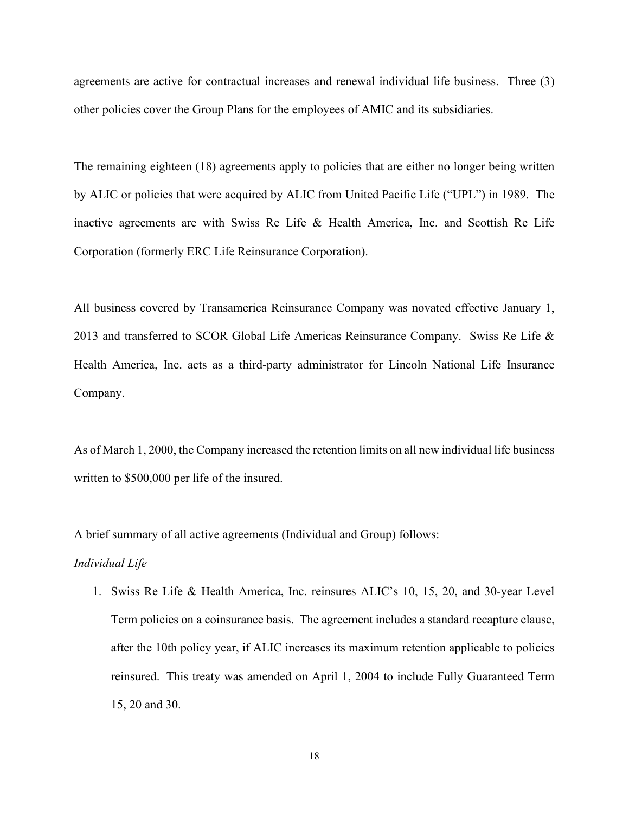agreements are active for contractual increases and renewal individual life business. Three (3) other policies cover the Group Plans for the employees of AMIC and its subsidiaries.

The remaining eighteen (18) agreements apply to policies that are either no longer being written by ALIC or policies that were acquired by ALIC from United Pacific Life ("UPL") in 1989. The inactive agreements are with Swiss Re Life & Health America, Inc. and Scottish Re Life Corporation (formerly ERC Life Reinsurance Corporation).

All business covered by Transamerica Reinsurance Company was novated effective January 1, 2013 and transferred to SCOR Global Life Americas Reinsurance Company. Swiss Re Life & Health America, Inc. acts as a third-party administrator for Lincoln National Life Insurance Company.

As of March 1, 2000, the Company increased the retention limits on all new individual life business written to \$500,000 per life of the insured.

A brief summary of all active agreements (Individual and Group) follows:

#### *Individual Life*

1. Swiss Re Life & Health America, Inc. reinsures ALIC's 10, 15, 20, and 30-year Level Term policies on a coinsurance basis. The agreement includes a standard recapture clause, after the 10th policy year, if ALIC increases its maximum retention applicable to policies reinsured. This treaty was amended on April 1, 2004 to include Fully Guaranteed Term 15, 20 and 30.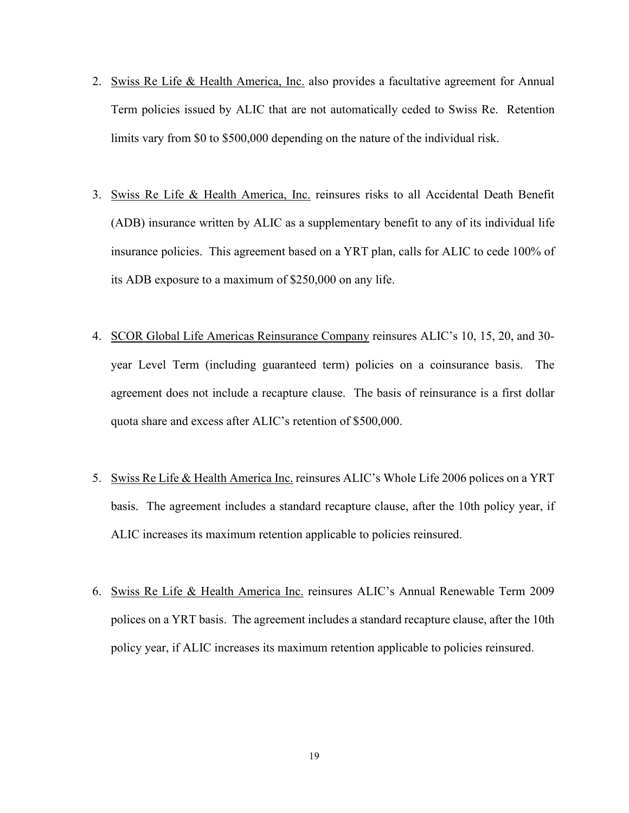- 2. Swiss Re Life & Health America, Inc. also provides a facultative agreement for Annual Term policies issued by ALIC that are not automatically ceded to Swiss Re. Retention limits vary from \$0 to \$500,000 depending on the nature of the individual risk.
- 3. Swiss Re Life & Health America, Inc. reinsures risks to all Accidental Death Benefit (ADB) insurance written by ALIC as a supplementary benefit to any of its individual life insurance policies. This agreement based on a YRT plan, calls for ALIC to cede 100% of its ADB exposure to a maximum of \$250,000 on any life.
- 4. SCOR Global Life Americas Reinsurance Company reinsures ALIC's 10, 15, 20, and 30 year Level Term (including guaranteed term) policies on a coinsurance basis. The agreement does not include a recapture clause. The basis of reinsurance is a first dollar quota share and excess after ALIC's retention of \$500,000.
- 5. Swiss Re Life & Health America Inc. reinsures ALIC's Whole Life 2006 polices on a YRT basis. The agreement includes a standard recapture clause, after the 10th policy year, if ALIC increases its maximum retention applicable to policies reinsured.
- 6. Swiss Re Life & Health America Inc. reinsures ALIC's Annual Renewable Term 2009 polices on a YRT basis. The agreement includes a standard recapture clause, after the 10th policy year, if ALIC increases its maximum retention applicable to policies reinsured.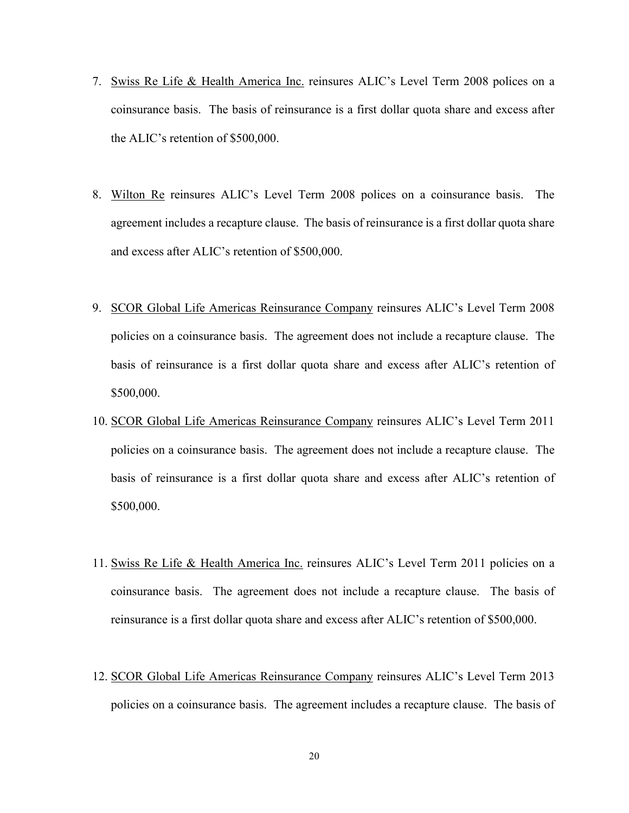- 7. Swiss Re Life & Health America Inc. reinsures ALIC's Level Term 2008 polices on a coinsurance basis. The basis of reinsurance is a first dollar quota share and excess after the ALIC's retention of \$500,000.
- 8. Wilton Re reinsures ALIC's Level Term 2008 polices on a coinsurance basis. The agreement includes a recapture clause. The basis of reinsurance is a first dollar quota share and excess after ALIC's retention of \$500,000.
- 9. SCOR Global Life Americas Reinsurance Company reinsures ALIC's Level Term 2008 policies on a coinsurance basis. The agreement does not include a recapture clause. The basis of reinsurance is a first dollar quota share and excess after ALIC's retention of \$500,000.
- 10. SCOR Global Life Americas Reinsurance Company reinsures ALIC's Level Term 2011 policies on a coinsurance basis. The agreement does not include a recapture clause. The basis of reinsurance is a first dollar quota share and excess after ALIC's retention of \$500,000.
- 11. Swiss Re Life & Health America Inc. reinsures ALIC's Level Term 2011 policies on a coinsurance basis. The agreement does not include a recapture clause. The basis of reinsurance is a first dollar quota share and excess after ALIC's retention of \$500,000.
- 12. SCOR Global Life Americas Reinsurance Company reinsures ALIC's Level Term 2013 policies on a coinsurance basis. The agreement includes a recapture clause. The basis of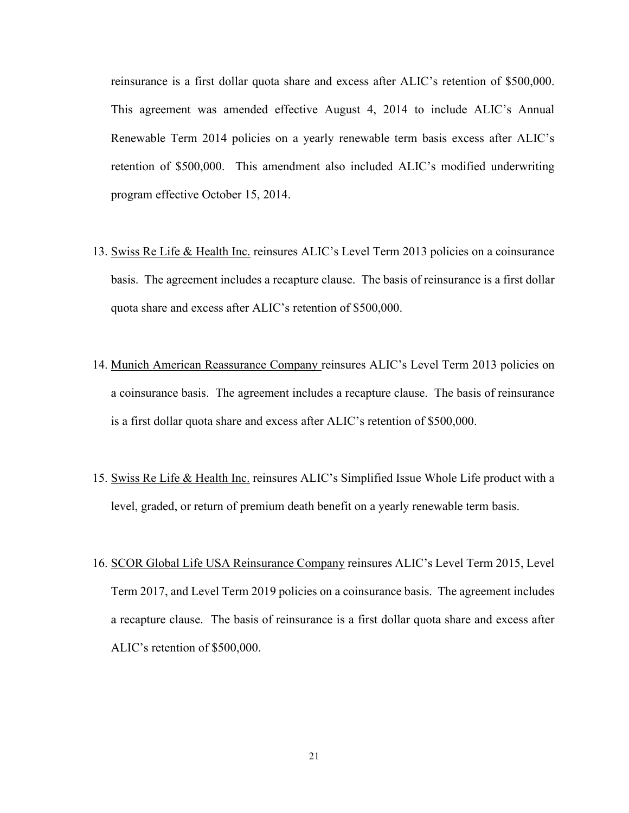reinsurance is a first dollar quota share and excess after ALIC's retention of \$500,000. This agreement was amended effective August 4, 2014 to include ALIC's Annual Renewable Term 2014 policies on a yearly renewable term basis excess after ALIC's retention of \$500,000. This amendment also included ALIC's modified underwriting program effective October 15, 2014.

- 13. Swiss Re Life & Health Inc. reinsures ALIC's Level Term 2013 policies on a coinsurance basis. The agreement includes a recapture clause. The basis of reinsurance is a first dollar quota share and excess after ALIC's retention of \$500,000.
- 14. Munich American Reassurance Company reinsures ALIC's Level Term 2013 policies on a coinsurance basis. The agreement includes a recapture clause. The basis of reinsurance is a first dollar quota share and excess after ALIC's retention of \$500,000.
- 15. Swiss Re Life & Health Inc. reinsures ALIC's Simplified Issue Whole Life product with a level, graded, or return of premium death benefit on a yearly renewable term basis.
- 16. SCOR Global Life USA Reinsurance Company reinsures ALIC's Level Term 2015, Level Term 2017, and Level Term 2019 policies on a coinsurance basis. The agreement includes a recapture clause. The basis of reinsurance is a first dollar quota share and excess after ALIC's retention of \$500,000.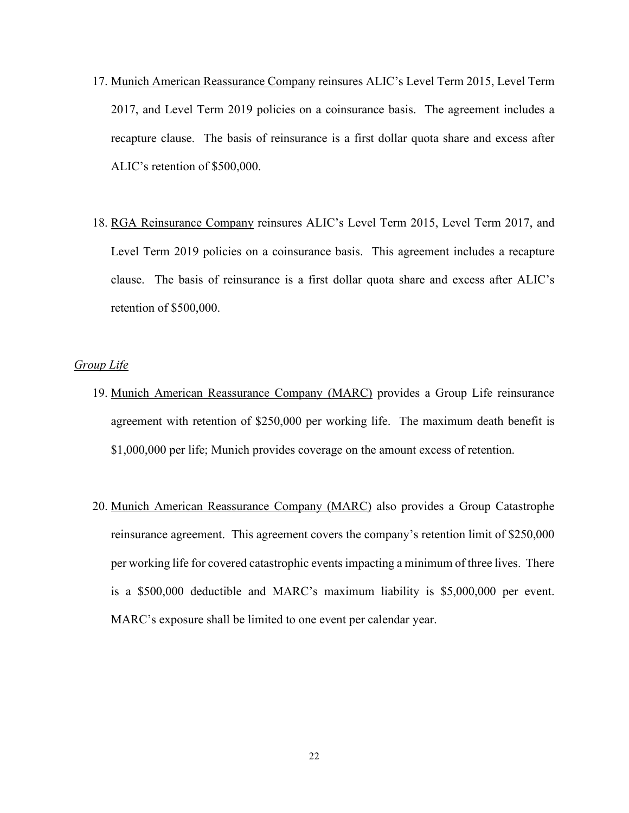- 17. Munich American Reassurance Company reinsures ALIC's Level Term 2015, Level Term 2017, and Level Term 2019 policies on a coinsurance basis. The agreement includes a recapture clause. The basis of reinsurance is a first dollar quota share and excess after ALIC's retention of \$500,000.
- 18. RGA Reinsurance Company reinsures ALIC's Level Term 2015, Level Term 2017, and Level Term 2019 policies on a coinsurance basis. This agreement includes a recapture clause. The basis of reinsurance is a first dollar quota share and excess after ALIC's retention of \$500,000.

### *Group Life*

- 19. Munich American Reassurance Company (MARC) provides a Group Life reinsurance agreement with retention of \$250,000 per working life. The maximum death benefit is \$1,000,000 per life; Munich provides coverage on the amount excess of retention.
- 20. Munich American Reassurance Company (MARC) also provides a Group Catastrophe reinsurance agreement. This agreement covers the company's retention limit of \$250,000 per working life for covered catastrophic events impacting a minimum of three lives. There is a \$500,000 deductible and MARC's maximum liability is \$5,000,000 per event. MARC's exposure shall be limited to one event per calendar year.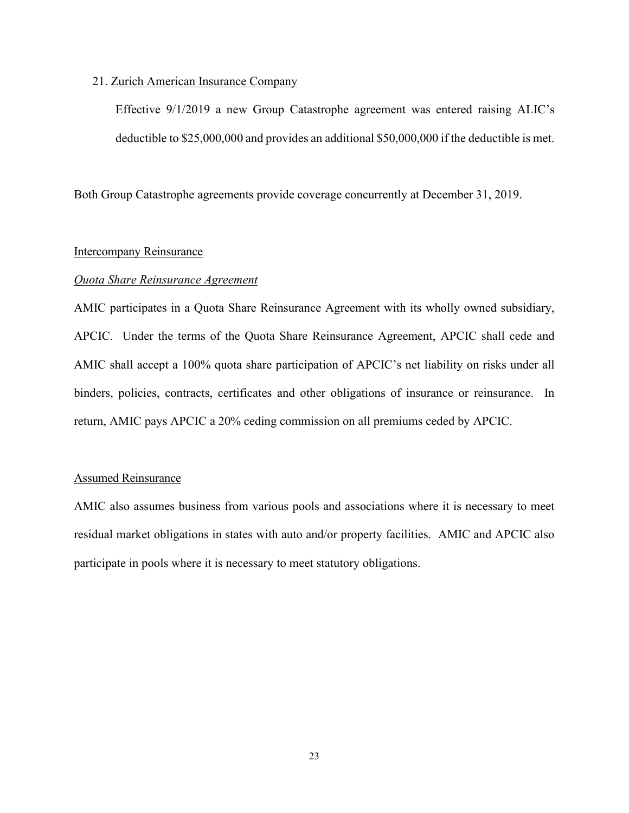#### 21. Zurich American Insurance Company

Effective 9/1/2019 a new Group Catastrophe agreement was entered raising ALIC's deductible to \$25,000,000 and provides an additional \$50,000,000 if the deductible is met.

Both Group Catastrophe agreements provide coverage concurrently at December 31, 2019.

## Intercompany Reinsurance

#### *Quota Share Reinsurance Agreement*

AMIC participates in a Quota Share Reinsurance Agreement with its wholly owned subsidiary, APCIC. Under the terms of the Quota Share Reinsurance Agreement, APCIC shall cede and AMIC shall accept a 100% quota share participation of APCIC's net liability on risks under all binders, policies, contracts, certificates and other obligations of insurance or reinsurance. In return, AMIC pays APCIC a 20% ceding commission on all premiums ceded by APCIC.

### Assumed Reinsurance

AMIC also assumes business from various pools and associations where it is necessary to meet residual market obligations in states with auto and/or property facilities. AMIC and APCIC also participate in pools where it is necessary to meet statutory obligations.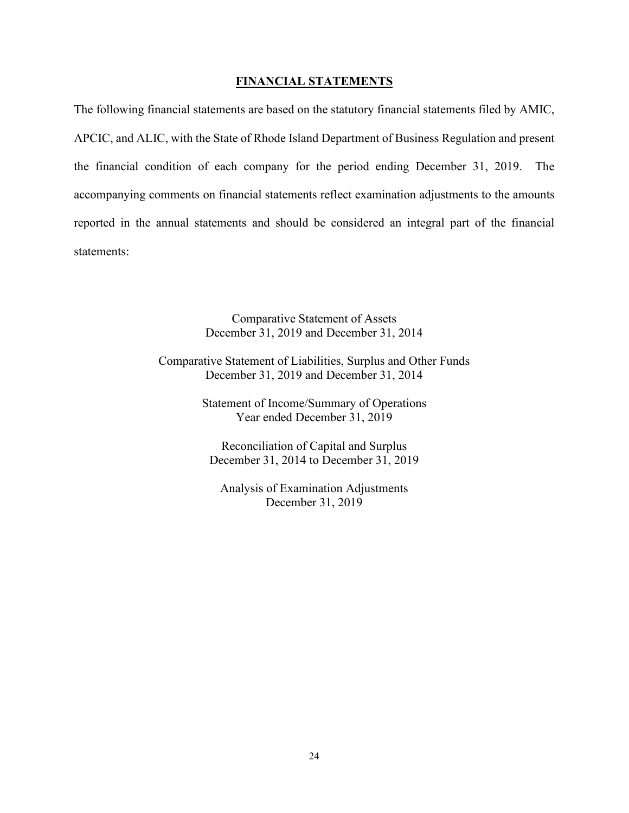### **FINANCIAL STATEMENTS**

The following financial statements are based on the statutory financial statements filed by AMIC, APCIC, and ALIC, with the State of Rhode Island Department of Business Regulation and present the financial condition of each company for the period ending December 31, 2019. The accompanying comments on financial statements reflect examination adjustments to the amounts reported in the annual statements and should be considered an integral part of the financial statements:

> Comparative Statement of Assets December 31, 2019 and December 31, 2014

Comparative Statement of Liabilities, Surplus and Other Funds December 31, 2019 and December 31, 2014

> Statement of Income/Summary of Operations Year ended December 31, 2019

Reconciliation of Capital and Surplus December 31, 2014 to December 31, 2019

Analysis of Examination Adjustments December 31, 2019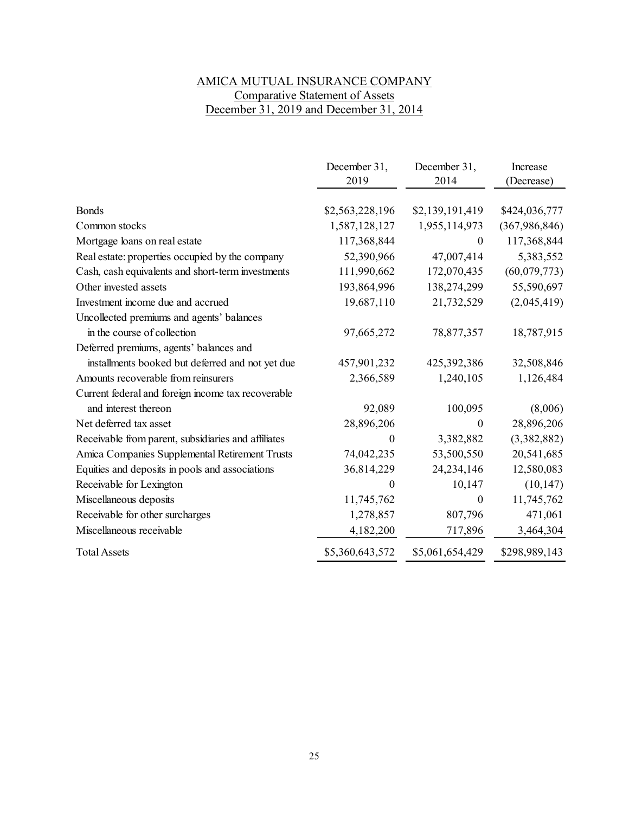# AMICA MUTUAL INSURANCE COMPANY Comparative Statement of Assets December 31, 2019 and December 31, 2014

|                                                     | December 31,     | December 31,    | Increase        |
|-----------------------------------------------------|------------------|-----------------|-----------------|
|                                                     | 2019             | 2014            | (Decrease)      |
|                                                     |                  |                 |                 |
| <b>Bonds</b>                                        | \$2,563,228,196  | \$2,139,191,419 | \$424,036,777   |
| Common stocks                                       | 1,587,128,127    | 1,955,114,973   | (367, 986, 846) |
| Mortgage loans on real estate                       | 117,368,844      | 0               | 117,368,844     |
| Real estate: properties occupied by the company     | 52,390,966       | 47,007,414      | 5,383,552       |
| Cash, cash equivalents and short-term investments   | 111,990,662      | 172,070,435     | (60,079,773)    |
| Other invested assets                               | 193,864,996      | 138,274,299     | 55,590,697      |
| Investment income due and accrued                   | 19,687,110       | 21,732,529      | (2,045,419)     |
| Uncollected premiums and agents' balances           |                  |                 |                 |
| in the course of collection                         | 97,665,272       | 78,877,357      | 18,787,915      |
| Deferred premiums, agents' balances and             |                  |                 |                 |
| installments booked but deferred and not yet due    | 457,901,232      | 425,392,386     | 32,508,846      |
| Amounts recoverable from reinsurers                 | 2,366,589        | 1,240,105       | 1,126,484       |
| Current federal and foreign income tax recoverable  |                  |                 |                 |
| and interest thereon                                | 92,089           | 100,095         | (8,006)         |
| Net deferred tax asset                              | 28,896,206       | 0               | 28,896,206      |
| Receivable from parent, subsidiaries and affiliates | 0                | 3,382,882       | (3,382,882)     |
| Amica Companies Supplemental Retirement Trusts      | 74,042,235       | 53,500,550      | 20,541,685      |
| Equities and deposits in pools and associations     | 36,814,229       | 24, 234, 146    | 12,580,083      |
| Receivable for Lexington                            | $\boldsymbol{0}$ | 10,147          | (10, 147)       |
| Miscellaneous deposits                              | 11,745,762       | $\theta$        | 11,745,762      |
| Receivable for other surcharges                     | 1,278,857        | 807,796         | 471,061         |
| Miscellaneous receivable                            | 4,182,200        | 717,896         | 3,464,304       |
| <b>Total Assets</b>                                 | \$5,360,643,572  | \$5,061,654,429 | \$298,989,143   |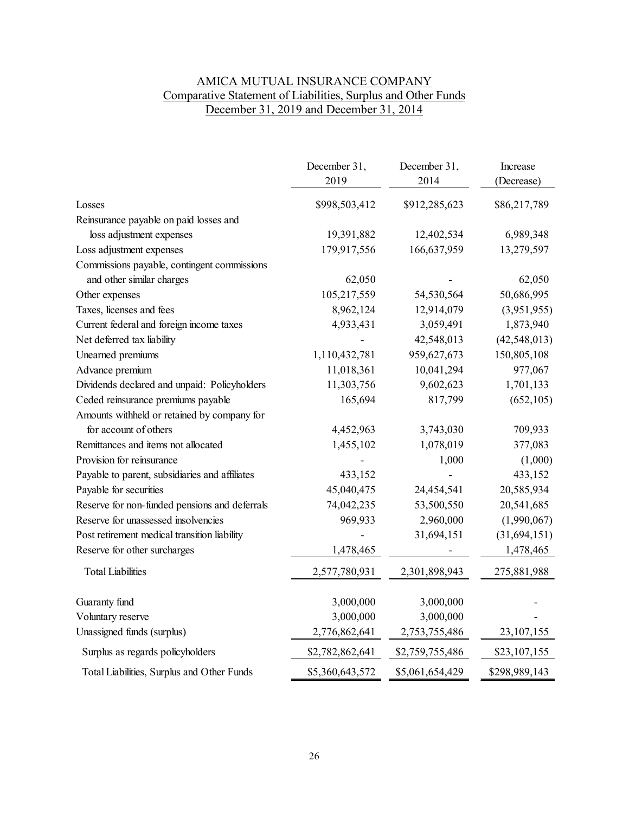# AMICA MUTUAL INSURANCE COMPANY Comparative Statement of Liabilities, Surplus and Other Funds December 31, 2019 and December 31, 2014

|                                                | December 31,<br>2019 | December 31,<br>2014 | Increase<br>(Decrease) |
|------------------------------------------------|----------------------|----------------------|------------------------|
| Losses                                         | \$998,503,412        | \$912,285,623        | \$86,217,789           |
| Reinsurance payable on paid losses and         |                      |                      |                        |
| loss adjustment expenses                       | 19,391,882           | 12,402,534           | 6,989,348              |
| Loss adjustment expenses                       | 179,917,556          | 166,637,959          | 13,279,597             |
| Commissions payable, contingent commissions    |                      |                      |                        |
| and other similar charges                      | 62,050               |                      | 62,050                 |
| Other expenses                                 | 105,217,559          | 54,530,564           | 50,686,995             |
| Taxes, licenses and fees                       | 8,962,124            | 12,914,079           | (3,951,955)            |
| Current federal and foreign income taxes       | 4,933,431            | 3,059,491            | 1,873,940              |
| Net deferred tax liability                     |                      | 42,548,013           | (42, 548, 013)         |
| Unearned premiums                              | 1,110,432,781        | 959,627,673          | 150,805,108            |
| Advance premium                                | 11,018,361           | 10,041,294           | 977,067                |
| Dividends declared and unpaid: Policyholders   | 11,303,756           | 9,602,623            | 1,701,133              |
| Ceded reinsurance premiums payable             | 165,694              | 817,799              | (652, 105)             |
| Amounts withheld or retained by company for    |                      |                      |                        |
| for account of others                          | 4,452,963            | 3,743,030            | 709,933                |
| Remittances and items not allocated            | 1,455,102            | 1,078,019            | 377,083                |
| Provision for reinsurance                      |                      | 1,000                | (1,000)                |
| Payable to parent, subsidiaries and affiliates | 433,152              |                      | 433,152                |
| Payable for securities                         | 45,040,475           | 24,454,541           | 20,585,934             |
| Reserve for non-funded pensions and deferrals  | 74,042,235           | 53,500,550           | 20,541,685             |
| Reserve for unassessed insolvencies            | 969,933              | 2,960,000            | (1,990,067)            |
| Post retirement medical transition liability   |                      | 31,694,151           | (31, 694, 151)         |
| Reserve for other surcharges                   | 1,478,465            |                      | 1,478,465              |
| <b>Total Liabilities</b>                       | 2,577,780,931        | 2,301,898,943        | 275,881,988            |
| Guaranty fund                                  | 3,000,000            | 3,000,000            |                        |
| Voluntary reserve                              | 3,000,000            | 3,000,000            |                        |
| Unassigned funds (surplus)                     | 2,776,862,641        | 2,753,755,486        | 23, 107, 155           |
| Surplus as regards policyholders               | \$2,782,862,641      | \$2,759,755,486      | \$23,107,155           |
| Total Liabilities, Surplus and Other Funds     | \$5,360,643,572      | \$5,061,654,429      | \$298,989,143          |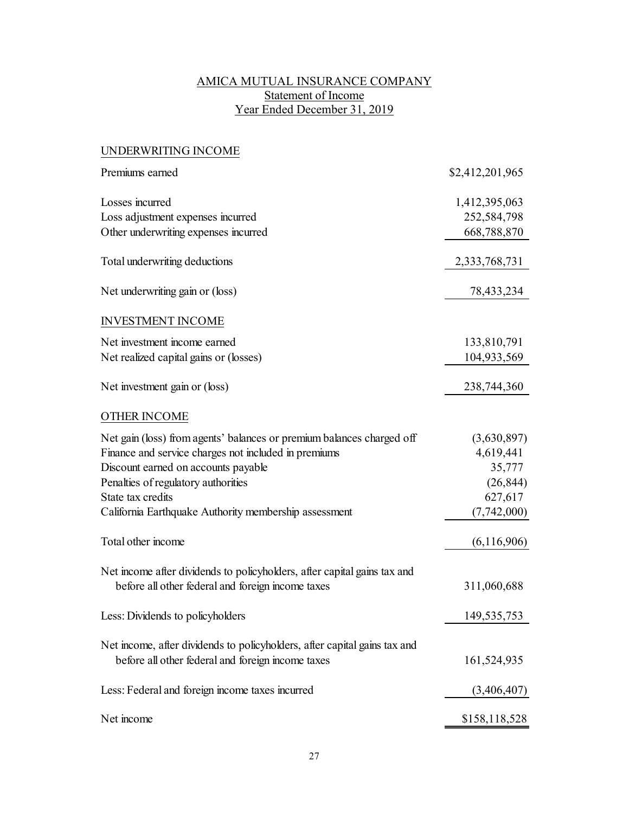# AMICA MUTUAL INSURANCE COMPANY Statement of Income Year Ended December 31, 2019

| UNDERWRITING INCOME                                                                                                            |                 |
|--------------------------------------------------------------------------------------------------------------------------------|-----------------|
| Premiums earned                                                                                                                | \$2,412,201,965 |
| Losses incurred                                                                                                                | 1,412,395,063   |
| Loss adjustment expenses incurred                                                                                              | 252,584,798     |
| Other underwriting expenses incurred                                                                                           | 668,788,870     |
| Total underwriting deductions                                                                                                  | 2,333,768,731   |
| Net underwriting gain or (loss)                                                                                                | 78,433,234      |
| <b>INVESTMENT INCOME</b>                                                                                                       |                 |
| Net investment income earned                                                                                                   | 133,810,791     |
| Net realized capital gains or (losses)                                                                                         | 104,933,569     |
| Net investment gain or (loss)                                                                                                  | 238,744,360     |
| <b>OTHER INCOME</b>                                                                                                            |                 |
| Net gain (loss) from agents' balances or premium balances charged off                                                          | (3,630,897)     |
| Finance and service charges not included in premiums                                                                           | 4,619,441       |
| Discount earned on accounts payable                                                                                            | 35,777          |
| Penalties of regulatory authorities                                                                                            | (26, 844)       |
| State tax credits                                                                                                              | 627,617         |
| California Earthquake Authority membership assessment                                                                          | (7,742,000)     |
| Total other income                                                                                                             | (6,116,906)     |
| Net income after dividends to policyholders, after capital gains tax and                                                       |                 |
| before all other federal and foreign income taxes                                                                              | 311,060,688     |
| Less: Dividends to policyholders                                                                                               | 149, 535, 753   |
| Net income, after dividends to policyholders, after capital gains tax and<br>before all other federal and foreign income taxes |                 |
|                                                                                                                                | 161,524,935     |
| Less: Federal and foreign income taxes incurred                                                                                | (3,406,407)     |
| Net income                                                                                                                     | \$158,118,528   |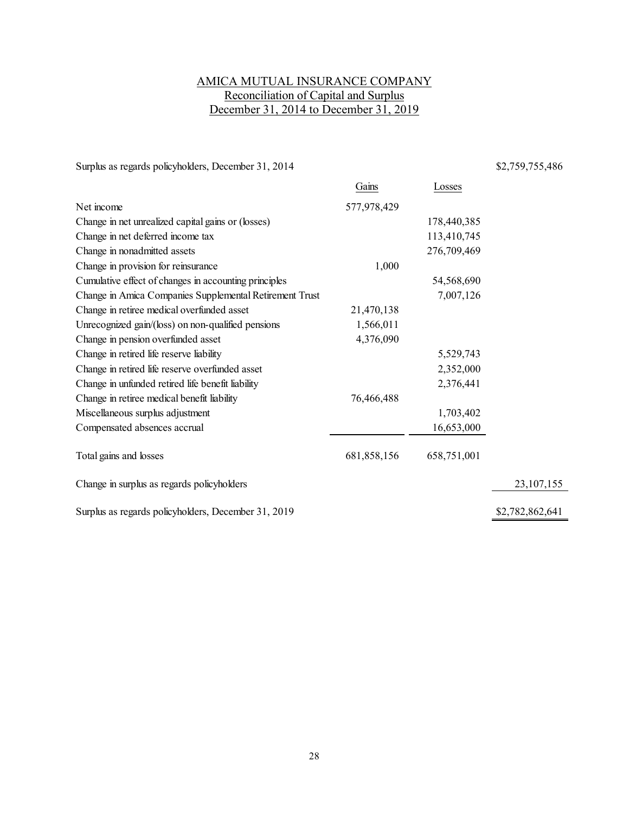# AMICA MUTUAL INSURANCE COMPANY Reconciliation of Capital and Surplus December 31, 2014 to December 31, 2019

Surplus as regards policyholders, December 31, 2014 \$2,759,755,486

|                                                         | Gains       | Losses      |                 |
|---------------------------------------------------------|-------------|-------------|-----------------|
| Net income                                              | 577,978,429 |             |                 |
| Change in net unrealized capital gains or (losses)      |             | 178,440,385 |                 |
| Change in net deferred income tax                       |             | 113,410,745 |                 |
| Change in nonadmitted assets                            |             | 276,709,469 |                 |
| Change in provision for reinsurance                     | 1,000       |             |                 |
| Cumulative effect of changes in accounting principles   |             | 54,568,690  |                 |
| Change in Amica Companies Supplemental Retirement Trust |             | 7,007,126   |                 |
| Change in retiree medical overfunded asset              | 21,470,138  |             |                 |
| Unrecognized gain/(loss) on non-qualified pensions      | 1,566,011   |             |                 |
| Change in pension overfunded asset                      | 4,376,090   |             |                 |
| Change in retired life reserve liability                |             | 5,529,743   |                 |
| Change in retired life reserve overfunded asset         |             | 2,352,000   |                 |
| Change in unfunded retired life benefit liability       |             | 2,376,441   |                 |
| Change in retiree medical benefit liability             | 76,466,488  |             |                 |
| Miscellaneous surplus adjustment                        |             | 1,703,402   |                 |
| Compensated absences accrual                            |             | 16,653,000  |                 |
| Total gains and losses                                  | 681,858,156 | 658,751,001 |                 |
| Change in surplus as regards policyholders              |             |             | 23,107,155      |
| Surplus as regards policyholders, December 31, 2019     |             |             | \$2,782,862,641 |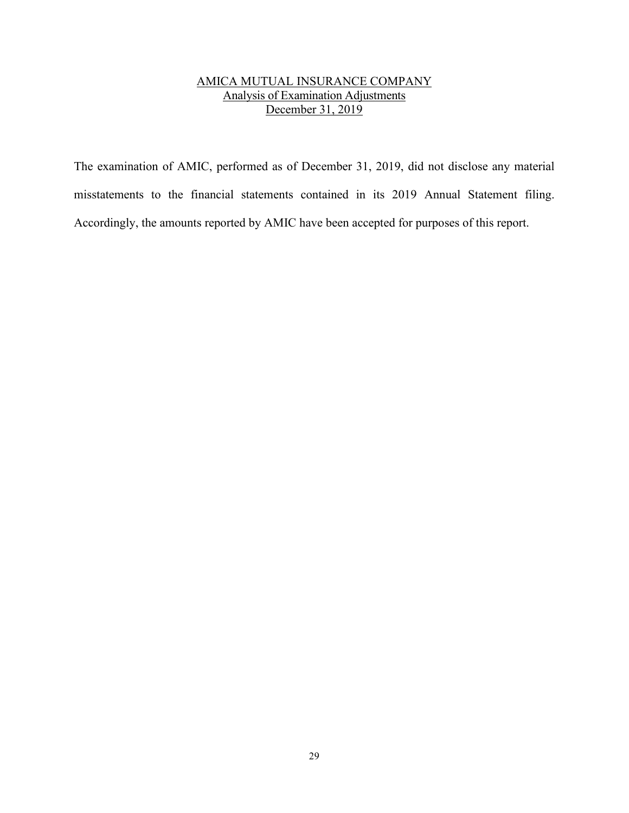# AMICA MUTUAL INSURANCE COMPANY Analysis of Examination Adjustments December 31, 2019

The examination of AMIC, performed as of December 31, 2019, did not disclose any material misstatements to the financial statements contained in its 2019 Annual Statement filing. Accordingly, the amounts reported by AMIC have been accepted for purposes of this report.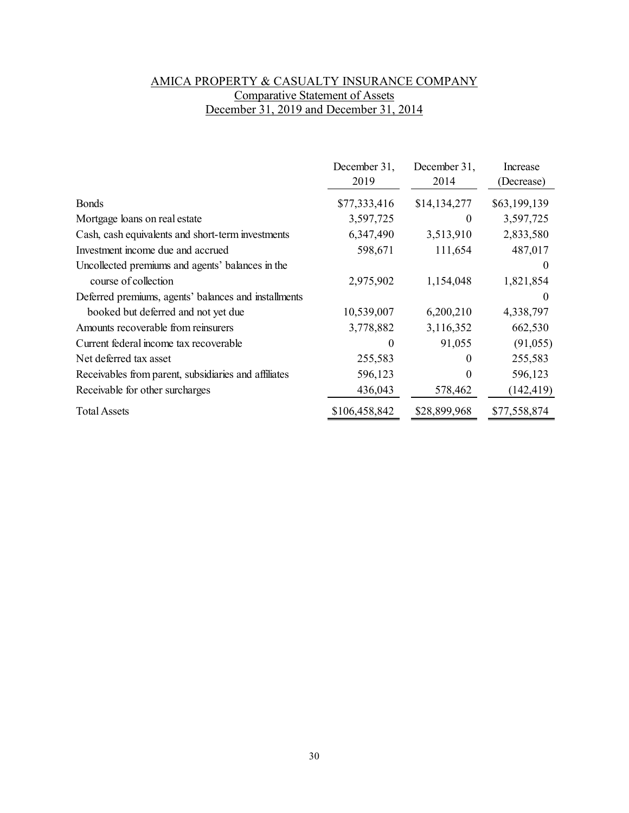# AMICA PROPERTY & CASUALTY INSURANCE COMPANY Comparative Statement of Assets December 31, 2019 and December 31, 2014

|                                                      | December 31,<br>2019 | December 31,<br>2014 | Increase<br>(Decrease) |
|------------------------------------------------------|----------------------|----------------------|------------------------|
| <b>Bonds</b>                                         | \$77,333,416         | \$14,134,277         | \$63,199,139           |
| Mortgage loans on real estate                        | 3,597,725            | $\theta$             | 3,597,725              |
| Cash, cash equivalents and short-term investments    | 6,347,490            | 3,513,910            | 2,833,580              |
| Investment income due and accrued                    | 598,671              | 111,654              | 487,017                |
| Uncollected premiums and agents' balances in the     |                      |                      | $\theta$               |
| course of collection                                 | 2,975,902            | 1,154,048            | 1,821,854              |
| Deferred premiums, agents' balances and installments |                      |                      | 0                      |
| booked but deferred and not yet due                  | 10,539,007           | 6,200,210            | 4,338,797              |
| Amounts recoverable from reinsurers                  | 3,778,882            | 3,116,352            | 662,530                |
| Current federal income tax recoverable               | 0                    | 91,055               | (91,055)               |
| Net deferred tax asset                               | 255,583              | $\theta$             | 255,583                |
| Receivables from parent, subsidiaries and affiliates | 596,123              | 0                    | 596,123                |
| Receivable for other surcharges                      | 436,043              | 578,462              | (142, 419)             |
| <b>Total Assets</b>                                  | \$106,458,842        | \$28,899,968         | \$77,558,874           |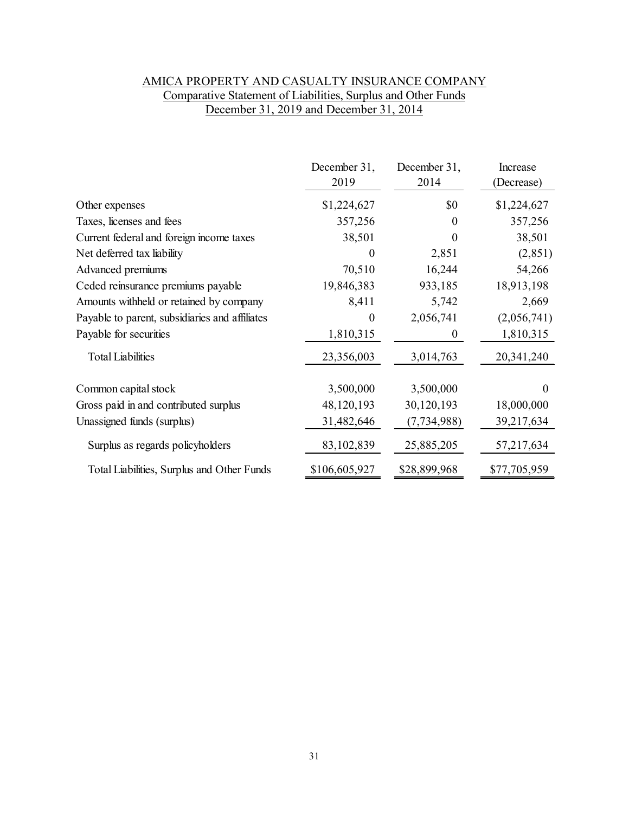# AMICA PROPERTY AND CASUALTY INSURANCE COMPANY Comparative Statement of Liabilities, Surplus and Other Funds December 31, 2019 and December 31, 2014

|                                                | December 31,<br>2019 | December 31,<br>2014 | Increase<br>(Decrease) |
|------------------------------------------------|----------------------|----------------------|------------------------|
| Other expenses                                 | \$1,224,627          | \$0                  | \$1,224,627            |
| Taxes, licenses and fees                       | 357,256              | $\Omega$             | 357,256                |
| Current federal and foreign income taxes       | 38,501               | 0                    | 38,501                 |
| Net deferred tax liability                     | $\theta$             | 2,851                | (2,851)                |
| Advanced premiums                              | 70,510               | 16,244               | 54,266                 |
| Ceded reinsurance premiums payable             | 19,846,383           | 933,185              | 18,913,198             |
| Amounts withheld or retained by company        | 8,411                | 5,742                | 2,669                  |
| Payable to parent, subsidiaries and affiliates | $\mathbf{0}$         | 2,056,741            | (2,056,741)            |
| Payable for securities                         | 1,810,315            | $_{0}$               | 1,810,315              |
| <b>Total Liabilities</b>                       | 23,356,003           | 3,014,763            | 20,341,240             |
| Common capital stock                           | 3,500,000            | 3,500,000            | 0                      |
| Gross paid in and contributed surplus          | 48,120,193           | 30,120,193           | 18,000,000             |
| Unassigned funds (surplus)                     | 31,482,646           | (7, 734, 988)        | 39,217,634             |
| Surplus as regards policyholders               | 83,102,839           | 25,885,205           | 57,217,634             |
| Total Liabilities, Surplus and Other Funds     | \$106,605,927        | \$28,899,968         | \$77,705,959           |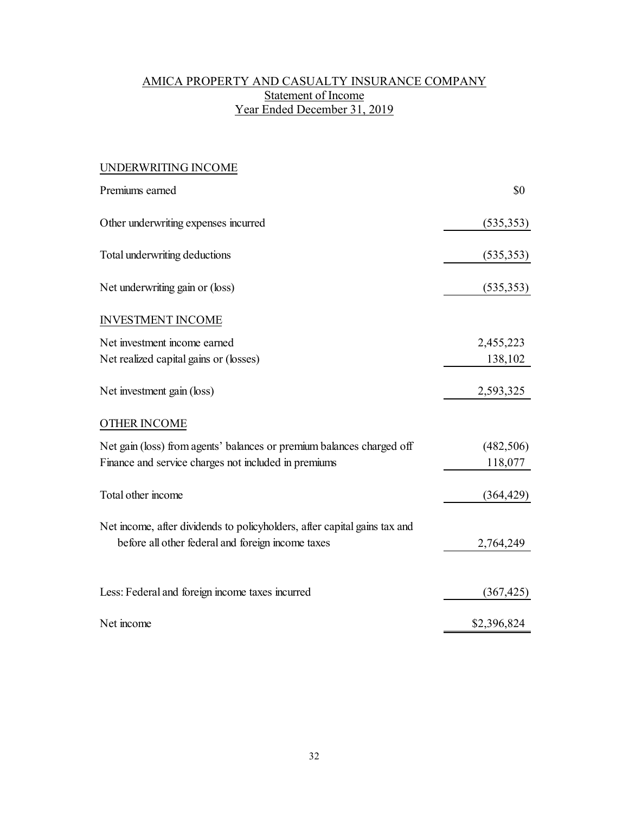# AMICA PROPERTY AND CASUALTY INSURANCE COMPANY Statement of Income Year Ended December 31, 2019

| UNDERWRITING INCOME                                                                                                            |             |
|--------------------------------------------------------------------------------------------------------------------------------|-------------|
| Premiums earned                                                                                                                | \$0         |
| Other underwriting expenses incurred                                                                                           | (535, 353)  |
| Total underwriting deductions                                                                                                  | (535, 353)  |
| Net underwriting gain or (loss)                                                                                                | (535, 353)  |
| <b>INVESTMENT INCOME</b>                                                                                                       |             |
| Net investment income earned                                                                                                   | 2,455,223   |
| Net realized capital gains or (losses)                                                                                         | 138,102     |
| Net investment gain (loss)                                                                                                     | 2,593,325   |
| OTHER INCOME                                                                                                                   |             |
| Net gain (loss) from agents' balances or premium balances charged off                                                          | (482, 506)  |
| Finance and service charges not included in premiums                                                                           | 118,077     |
| Total other income                                                                                                             | (364, 429)  |
| Net income, after dividends to policyholders, after capital gains tax and<br>before all other federal and foreign income taxes | 2,764,249   |
| Less: Federal and foreign income taxes incurred                                                                                | (367, 425)  |
| Net income                                                                                                                     | \$2,396,824 |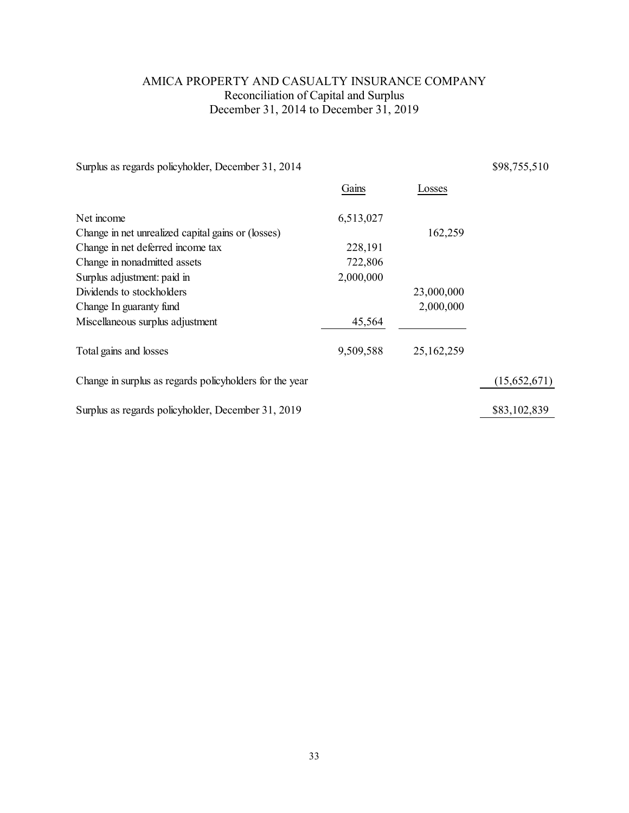# AMICA PROPERTY AND CASUALTY INSURANCE COMPANY Reconciliation of Capital and Surplus December 31, 2014 to December 31, 2019

|           |            | \$98,755,510 |
|-----------|------------|--------------|
| Gains     | Losses     |              |
| 6,513,027 |            |              |
|           | 162,259    |              |
| 228,191   |            |              |
| 722,806   |            |              |
| 2,000,000 |            |              |
|           | 23,000,000 |              |
|           | 2,000,000  |              |
| 45,564    |            |              |
| 9,509,588 | 25,162,259 |              |
|           |            | (15,652,671) |
|           |            | \$83,102,839 |
|           |            |              |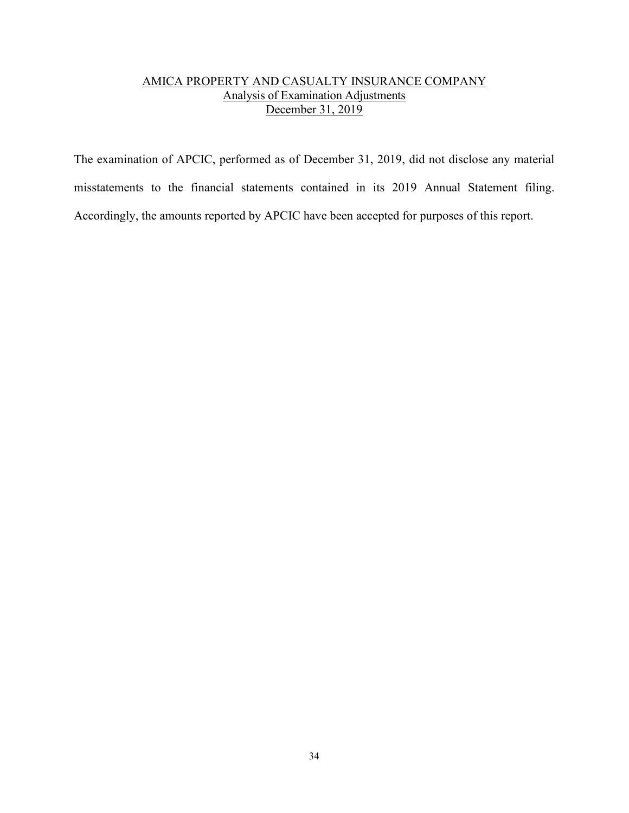# AMICA PROPERTY AND CASUALTY INSURANCE COMPANY Analysis of Examination Adjustments December 31, 2019

The examination of APCIC, performed as of December 31, 2019, did not disclose any material misstatements to the financial statements contained in its 2019 Annual Statement filing. Accordingly, the amounts reported by APCIC have been accepted for purposes of this report.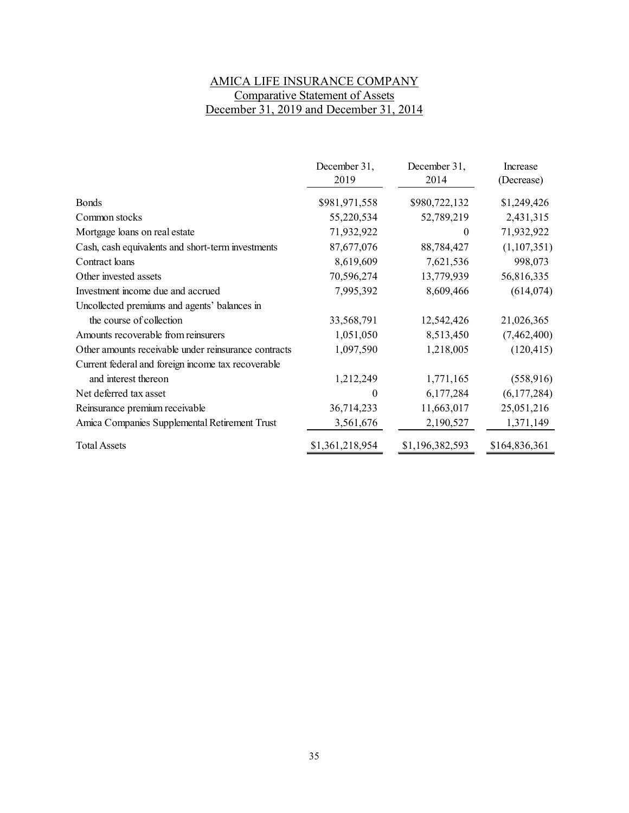# AMICA LIFE INSURANCE COMPANY Comparative Statement of Assets December 31, 2019 and December 31, 2014

|                                                      | December 31,<br>2019 | December 31,<br>2014 | Increase<br>(Decrease) |
|------------------------------------------------------|----------------------|----------------------|------------------------|
| <b>Bonds</b>                                         | \$981,971,558        | \$980,722,132        | \$1,249,426            |
| Common stocks                                        | 55,220,534           | 52,789,219           | 2,431,315              |
| Mortgage loans on real estate                        | 71,932,922           | $\bf{0}$             | 71,932,922             |
| Cash, cash equivalents and short-term investments    | 87,677,076           | 88,784,427           | (1,107,351)            |
| Contract loans                                       | 8,619,609            | 7,621,536            | 998,073                |
| Other invested assets                                | 70,596,274           | 13,779,939           | 56,816,335             |
| Investment income due and accrued                    | 7,995,392            | 8,609,466            | (614, 074)             |
| Uncollected premiums and agents' balances in         |                      |                      |                        |
| the course of collection                             | 33,568,791           | 12,542,426           | 21,026,365             |
| Amounts recoverable from reinsurers                  | 1,051,050            | 8,513,450            | (7,462,400)            |
| Other amounts receivable under reinsurance contracts | 1,097,590            | 1,218,005            | (120, 415)             |
| Current federal and foreign income tax recoverable   |                      |                      |                        |
| and interest thereon                                 | 1,212,249            | 1,771,165            | (558, 916)             |
| Net deferred tax asset                               | $\theta$             | 6,177,284            | (6,177,284)            |
| Reinsurance premium receivable                       | 36,714,233           | 11,663,017           | 25,051,216             |
| Amica Companies Supplemental Retirement Trust        | 3,561,676            | 2,190,527            | 1,371,149              |
| <b>Total Assets</b>                                  | \$1,361,218,954      | \$1,196,382,593      | \$164,836,361          |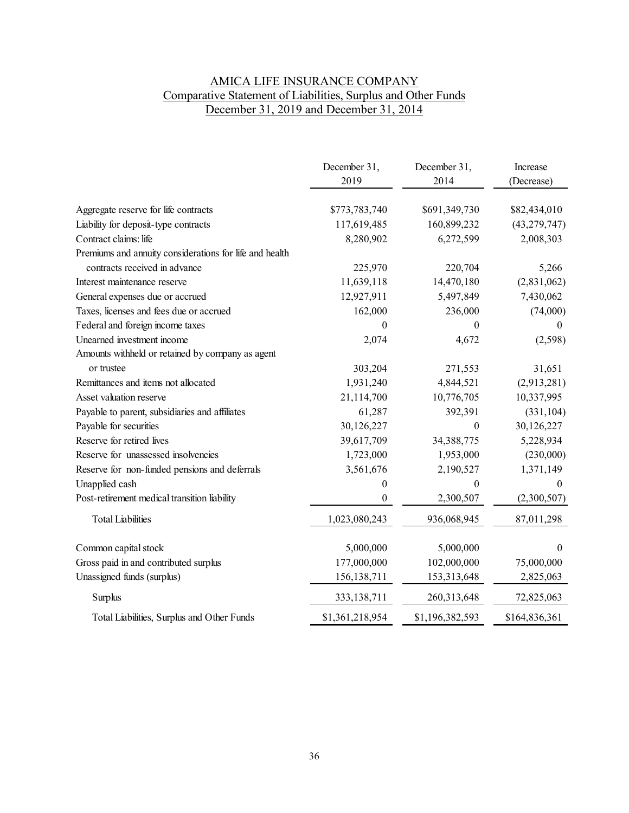# AMICA LIFE INSURANCE COMPANY Comparative Statement of Liabilities, Surplus and Other Funds December 31, 2019 and December 31, 2014

|                                                         | December 31,<br>2019 | December 31,<br>2014 | Increase<br>(Decrease) |
|---------------------------------------------------------|----------------------|----------------------|------------------------|
| Aggregate reserve for life contracts                    | \$773,783,740        | \$691,349,730        | \$82,434,010           |
| Liability for deposit-type contracts                    | 117,619,485          | 160,899,232          | (43, 279, 747)         |
| Contract claims: life                                   | 8,280,902            | 6,272,599            | 2,008,303              |
| Premiums and annuity considerations for life and health |                      |                      |                        |
| contracts received in advance                           | 225,970              | 220,704              | 5,266                  |
| Interest maintenance reserve                            | 11,639,118           | 14,470,180           | (2,831,062)            |
| General expenses due or accrued                         | 12,927,911           | 5,497,849            | 7,430,062              |
| Taxes, licenses and fees due or accrued                 | 162,000              | 236,000              | (74,000)               |
| Federal and foreign income taxes                        | $\theta$             | $\theta$             | $\theta$               |
| Unearned investment income                              | 2,074                | 4,672                | (2,598)                |
| Amounts withheld or retained by company as agent        |                      |                      |                        |
| or trustee                                              | 303,204              | 271,553              | 31,651                 |
| Remittances and items not allocated                     | 1,931,240            | 4,844,521            | (2,913,281)            |
| Asset valuation reserve                                 | 21,114,700           | 10,776,705           | 10,337,995             |
| Payable to parent, subsidiaries and affiliates          | 61,287               | 392,391              | (331, 104)             |
| Payable for securities                                  | 30,126,227           | $\theta$             | 30,126,227             |
| Reserve for retired lives                               | 39,617,709           | 34,388,775           | 5,228,934              |
| Reserve for unassessed insolvencies                     | 1,723,000            | 1,953,000            | (230,000)              |
| Reserve for non-funded pensions and deferrals           | 3,561,676            | 2,190,527            | 1,371,149              |
| Unapplied cash                                          | $\boldsymbol{0}$     | $\boldsymbol{0}$     | $\theta$               |
| Post-retirement medical transition liability            | $\theta$             | 2,300,507            | (2,300,507)            |
| <b>Total Liabilities</b>                                | 1,023,080,243        | 936,068,945          | 87,011,298             |
| Common capital stock                                    | 5,000,000            | 5,000,000            | $\boldsymbol{0}$       |
| Gross paid in and contributed surplus                   | 177,000,000          | 102,000,000          | 75,000,000             |
| Unassigned funds (surplus)                              | 156, 138, 711        | 153,313,648          | 2,825,063              |
| Surplus                                                 | 333,138,711          | 260,313,648          | 72,825,063             |
| Total Liabilities, Surplus and Other Funds              | \$1,361,218,954      | \$1,196,382,593      | \$164,836,361          |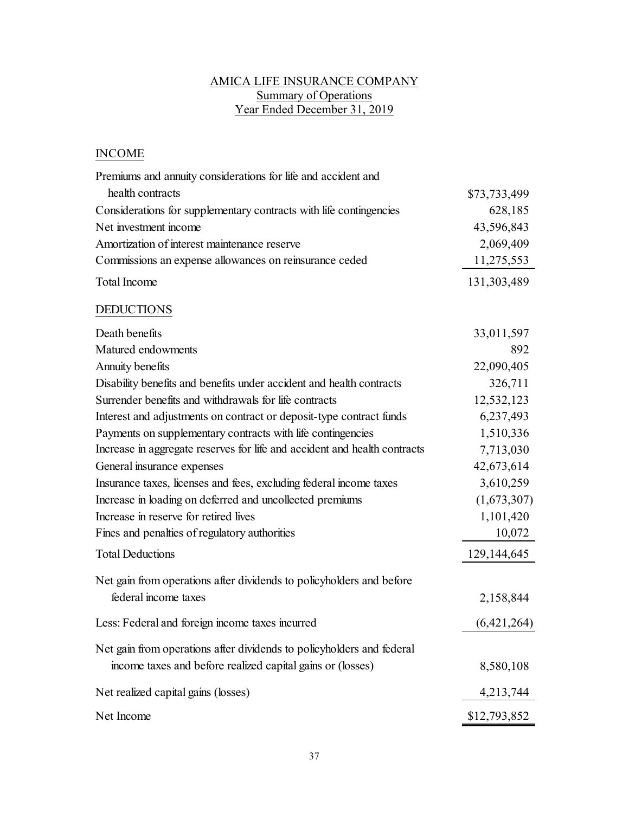# AMICA LIFE INSURANCE COMPANY Summary of Operations Year Ended December 31, 2019

# INCOME

| Premiums and annuity considerations for life and accident and             |              |
|---------------------------------------------------------------------------|--------------|
| health contracts                                                          | \$73,733,499 |
| Considerations for supplementary contracts with life contingencies        | 628,185      |
| Net investment income                                                     | 43,596,843   |
| Amortization of interest maintenance reserve                              | 2,069,409    |
| Commissions an expense allowances on reinsurance ceded                    | 11,275,553   |
| Total Income                                                              | 131,303,489  |
| <b>DEDUCTIONS</b>                                                         |              |
| Death benefits                                                            | 33,011,597   |
| Matured endowments                                                        | 892          |
| Annuity benefits                                                          | 22,090,405   |
| Disability benefits and benefits under accident and health contracts      | 326,711      |
| Surrender benefits and withdrawals for life contracts                     | 12,532,123   |
| Interest and adjustments on contract or deposit-type contract funds       | 6,237,493    |
| Payments on supplementary contracts with life contingencies               | 1,510,336    |
| Increase in aggregate reserves for life and accident and health contracts | 7,713,030    |
| General insurance expenses                                                | 42,673,614   |
| Insurance taxes, licenses and fees, excluding federal income taxes        | 3,610,259    |
| Increase in loading on deferred and uncollected premiums                  | (1,673,307)  |
| Increase in reserve for retired lives                                     | 1,101,420    |
| Fines and penalties of regulatory authorities                             | 10,072       |
| <b>Total Deductions</b>                                                   | 129,144,645  |
| Net gain from operations after dividends to policyholders and before      |              |
| federal income taxes                                                      | 2,158,844    |
| Less: Federal and foreign income taxes incurred                           | (6,421,264)  |
| Net gain from operations after dividends to policyholders and federal     |              |
| income taxes and before realized capital gains or (losses)                | 8,580,108    |
| Net realized capital gains (losses)                                       | 4,213,744    |
| Net Income                                                                | \$12,793,852 |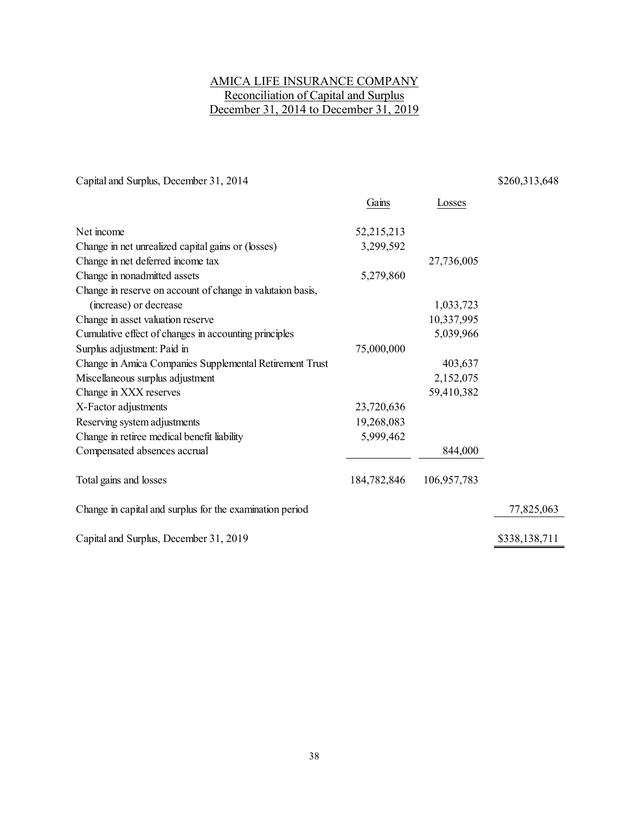# AMICA LIFE INSURANCE COMPANY Reconciliation of Capital and Surplus December 31, 2014 to December 31, 2019

Capital and Surplus, December 31, 2014 \$260,313,648

|                                                            | Gains       | Losses      |               |
|------------------------------------------------------------|-------------|-------------|---------------|
| Net income                                                 | 52,215,213  |             |               |
| Change in net unrealized capital gains or (losses)         | 3,299,592   |             |               |
| Change in net deferred income tax                          |             | 27,736,005  |               |
| Change in nonadmitted assets                               | 5,279,860   |             |               |
| Change in reserve on account of change in valutaion basis, |             |             |               |
| (increase) or decrease                                     |             | 1,033,723   |               |
| Change in asset valuation reserve                          |             | 10,337,995  |               |
| Cumulative effect of changes in accounting principles      |             | 5,039,966   |               |
| Surplus adjustment: Paid in                                | 75,000,000  |             |               |
| Change in Amica Companies Supplemental Retirement Trust    |             | 403,637     |               |
| Miscellaneous surplus adjustment                           |             | 2,152,075   |               |
| Change in XXX reserves                                     |             | 59,410,382  |               |
| X-Factor adjustments                                       | 23,720,636  |             |               |
| Reserving system adjustments                               | 19,268,083  |             |               |
| Change in retiree medical benefit liability                | 5,999,462   |             |               |
| Compensated absences accrual                               |             | 844,000     |               |
| Total gains and losses                                     | 184,782,846 | 106,957,783 |               |
| Change in capital and surplus for the examination period   |             |             | 77,825,063    |
| Capital and Surplus, December 31, 2019                     |             |             | \$338,138,711 |
|                                                            |             |             |               |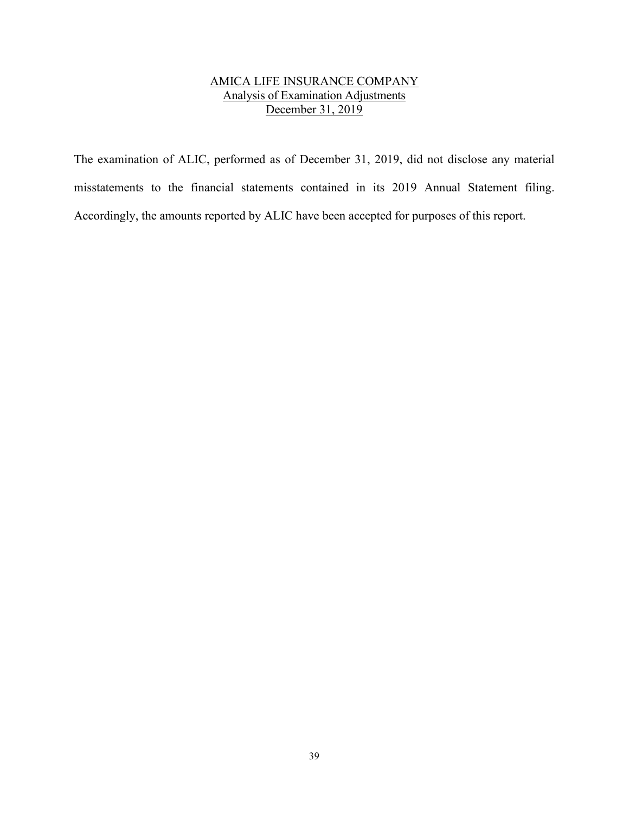# AMICA LIFE INSURANCE COMPANY Analysis of Examination Adjustments December 31, 2019

The examination of ALIC, performed as of December 31, 2019, did not disclose any material misstatements to the financial statements contained in its 2019 Annual Statement filing. Accordingly, the amounts reported by ALIC have been accepted for purposes of this report.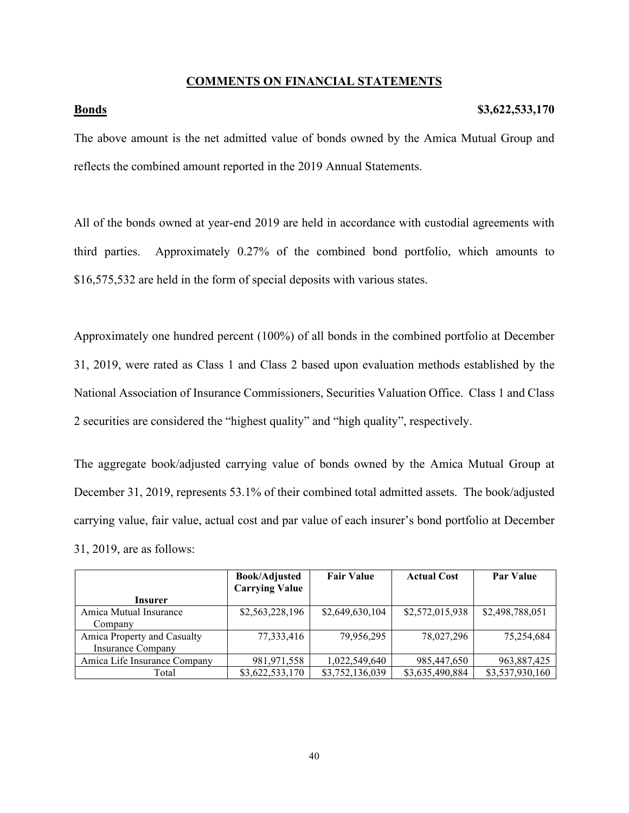# **COMMENTS ON FINANCIAL STATEMENTS**

### **Bonds** \$3,622,533,170

The above amount is the net admitted value of bonds owned by the Amica Mutual Group and reflects the combined amount reported in the 2019 Annual Statements.

All of the bonds owned at year-end 2019 are held in accordance with custodial agreements with third parties. Approximately 0.27% of the combined bond portfolio, which amounts to \$16,575,532 are held in the form of special deposits with various states.

Approximately one hundred percent (100%) of all bonds in the combined portfolio at December 31, 2019, were rated as Class 1 and Class 2 based upon evaluation methods established by the National Association of Insurance Commissioners, Securities Valuation Office. Class 1 and Class 2 securities are considered the "highest quality" and "high quality", respectively.

The aggregate book/adjusted carrying value of bonds owned by the Amica Mutual Group at December 31, 2019, represents 53.1% of their combined total admitted assets. The book/adjusted carrying value, fair value, actual cost and par value of each insurer's bond portfolio at December 31, 2019, are as follows:

|                              | <b>Book/Adjusted</b>  | <b>Fair Value</b> | <b>Actual Cost</b> | <b>Par Value</b> |
|------------------------------|-----------------------|-------------------|--------------------|------------------|
|                              | <b>Carrying Value</b> |                   |                    |                  |
| <b>Insurer</b>               |                       |                   |                    |                  |
| Amica Mutual Insurance       | \$2,563,228,196       | \$2,649,630,104   | \$2,572,015,938    | \$2,498,788,051  |
| Company                      |                       |                   |                    |                  |
| Amica Property and Casualty  | 77,333,416            | 79,956,295        | 78,027,296         | 75.254.684       |
| <b>Insurance Company</b>     |                       |                   |                    |                  |
| Amica Life Insurance Company | 981, 971, 558         | 1,022,549,640     | 985,447,650        | 963,887,425      |
| Total                        | \$3,622,533,170       | \$3,752,136,039   | \$3,635,490,884    | \$3,537,930,160  |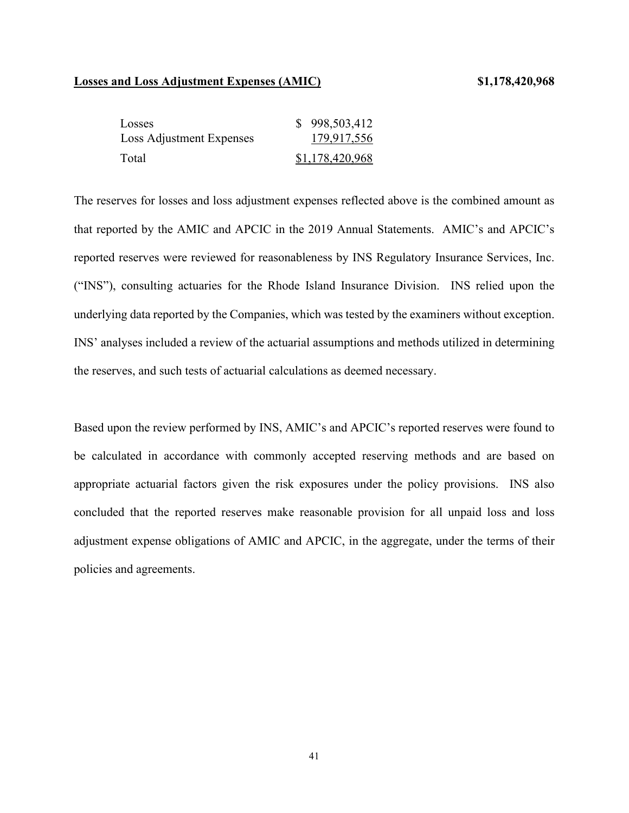### **Losses and Loss Adjustment Expenses (AMIC) \$1,178,420,968**

| Losses                   | \$998,503,412   |
|--------------------------|-----------------|
| Loss Adjustment Expenses | 179,917,556     |
| Total                    | \$1,178,420,968 |

The reserves for losses and loss adjustment expenses reflected above is the combined amount as that reported by the AMIC and APCIC in the 2019 Annual Statements. AMIC's and APCIC's reported reserves were reviewed for reasonableness by INS Regulatory Insurance Services, Inc. ("INS"), consulting actuaries for the Rhode Island Insurance Division. INS relied upon the underlying data reported by the Companies, which was tested by the examiners without exception. INS' analyses included a review of the actuarial assumptions and methods utilized in determining the reserves, and such tests of actuarial calculations as deemed necessary.

Based upon the review performed by INS, AMIC's and APCIC's reported reserves were found to be calculated in accordance with commonly accepted reserving methods and are based on appropriate actuarial factors given the risk exposures under the policy provisions. INS also concluded that the reported reserves make reasonable provision for all unpaid loss and loss adjustment expense obligations of AMIC and APCIC, in the aggregate, under the terms of their policies and agreements.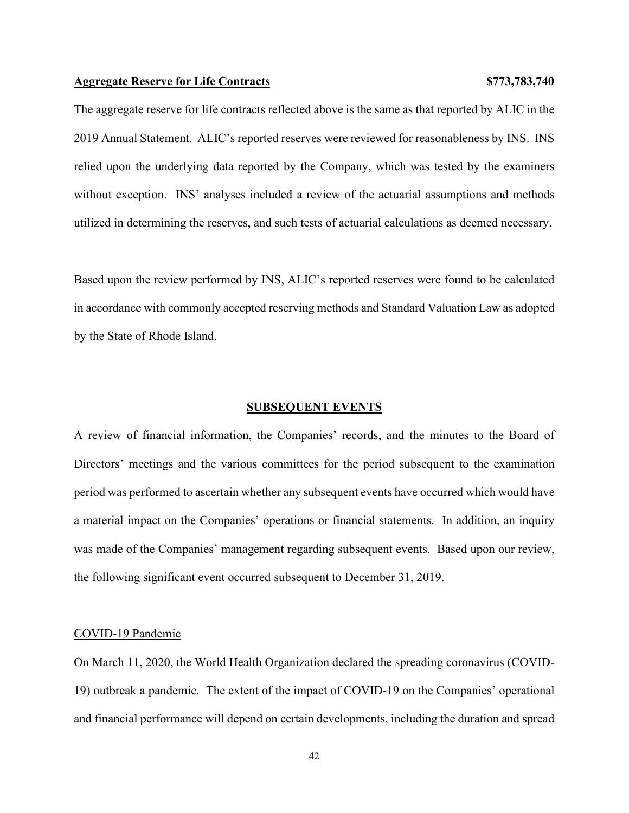### **Aggregate Reserve for Life Contracts \$773,783,740**

The aggregate reserve for life contracts reflected above is the same as that reported by ALIC in the 2019 Annual Statement. ALIC's reported reserves were reviewed for reasonableness by INS. INS relied upon the underlying data reported by the Company, which was tested by the examiners without exception. INS' analyses included a review of the actuarial assumptions and methods utilized in determining the reserves, and such tests of actuarial calculations as deemed necessary.

Based upon the review performed by INS, ALIC's reported reserves were found to be calculated in accordance with commonly accepted reserving methods and Standard Valuation Law as adopted by the State of Rhode Island.

### **SUBSEQUENT EVENTS**

A review of financial information, the Companies' records, and the minutes to the Board of Directors' meetings and the various committees for the period subsequent to the examination period was performed to ascertain whether any subsequent events have occurred which would have a material impact on the Companies' operations or financial statements. In addition, an inquiry was made of the Companies' management regarding subsequent events. Based upon our review, the following significant event occurred subsequent to December 31, 2019.

### COVID-19 Pandemic

On March 11, 2020, the World Health Organization declared the spreading coronavirus (COVID-19) outbreak a pandemic. The extent of the impact of COVID-19 on the Companies' operational and financial performance will depend on certain developments, including the duration and spread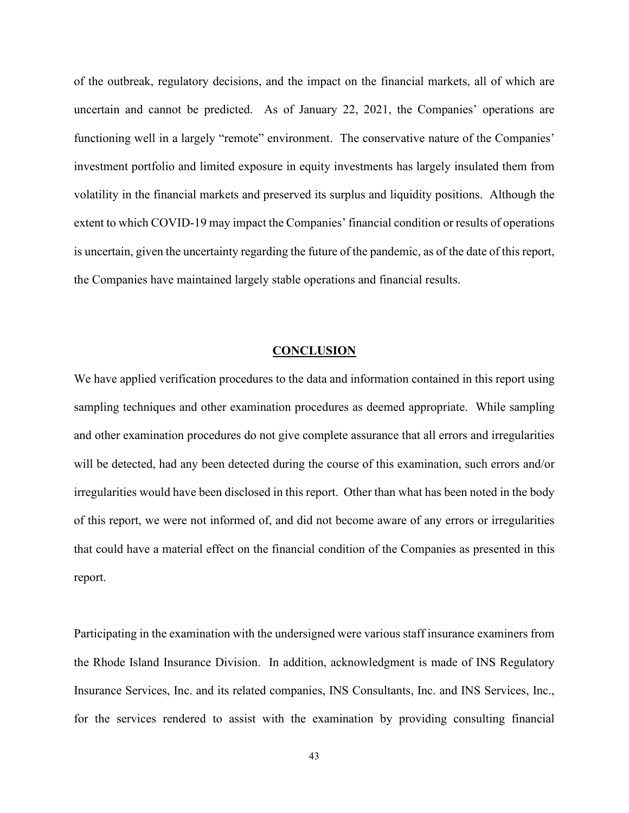of the outbreak, regulatory decisions, and the impact on the financial markets, all of which are uncertain and cannot be predicted. As of January 22, 2021, the Companies' operations are functioning well in a largely "remote" environment. The conservative nature of the Companies' investment portfolio and limited exposure in equity investments has largely insulated them from volatility in the financial markets and preserved its surplus and liquidity positions. Although the extent to which COVID-19 may impact the Companies' financial condition or results of operations is uncertain, given the uncertainty regarding the future of the pandemic, as of the date of this report, the Companies have maintained largely stable operations and financial results.

### **CONCLUSION**

We have applied verification procedures to the data and information contained in this report using sampling techniques and other examination procedures as deemed appropriate. While sampling and other examination procedures do not give complete assurance that all errors and irregularities will be detected, had any been detected during the course of this examination, such errors and/or irregularities would have been disclosed in this report. Other than what has been noted in the body of this report, we were not informed of, and did not become aware of any errors or irregularities that could have a material effect on the financial condition of the Companies as presented in this report.

Participating in the examination with the undersigned were various staff insurance examiners from the Rhode Island Insurance Division. In addition, acknowledgment is made of INS Regulatory Insurance Services, Inc. and its related companies, INS Consultants, Inc. and INS Services, Inc., for the services rendered to assist with the examination by providing consulting financial